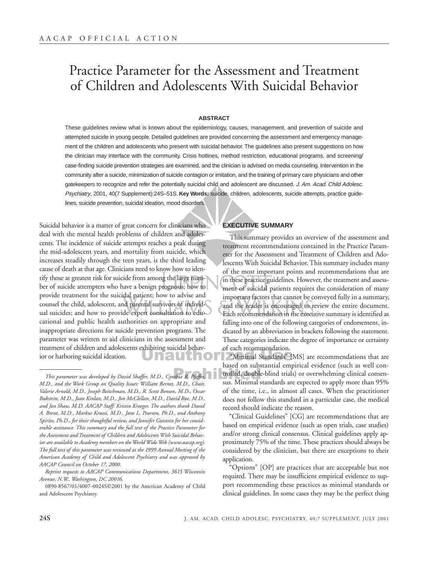# Practice Parameter for the Assessment and Treatment of Children and Adolescents With Suicidal Behavior

#### **ABSTRACT**

These guidelines review what is known about the epidemiology, causes, management, and prevention of suicide and attempted suicide in young people. Detailed guidelines are provided concerning the assessment and emergency management of the children and adolescents who present with suicidal behavior. The guidelines also present suggestions on how the clinician may interface with the community. Crisis hotlines, method restriction, educational programs, and screening/ case-finding suicide prevention strategies are examined, and the clinician is advised on media counseling. Intervention in the community after a suicide, minimization of suicide contagion or imitation, and the training of primary care physicians and other gatekeepers to recognize and refer the potentially suicidal child and adolescent are discussed. J. Am. Acad. Child Adolesc. Psychiatry, 2001, 40(7 Supplement):24S–51S. **Key Words:** suicide, children, adolescents, suicide attempts, practice guide-

lines, suicide prevention, suicidal ideation, mood disorders.

Suicidal behavior is a matter of great concern for clinicians who deal with the mental health problems of children and adolescents. The incidence of suicide attempts reaches a peak during the mid-adolescent years, and mortality from suicide, which increases steadily through the teen years, is the third leading cause of death at that age. Clinicians need to know how to identify those at greatest risk for suicide from among the large number of suicide attempters who have a benign prognosis; how to provide treatment for the suicidal patient; how to advise and counsel the child, adolescent, and parental survivors of individual suicides; and how to provide expert consultation to educational and public health authorities on appropriate and inappropriate directions for suicide prevention programs. The parameter was written to aid clinicians in the assessment and treatment of children and adolescents exhibiting suicidal behavior or harboring suicidal ideation. nau

*Reprint requests to AACAP Communications Department, 3615 Wisconsin Avenue, N.W., Washington, DC 20016.*

0890-8567/01/4007-0024S@2001 by the American Academy of Child and Adolescent Psychiatry.

# **EXECUTIVE SUMMARY**

This summary provides an overview of the assessment and treatment recommendations contained in the Practice Parameter for the Assessment and Treatment of Children and Adolescents With Suicidal Behavior. This summary includes many of the most important points and recommendations that are in these practice guidelines. However, the treatment and assessment of suicidal patients requires the consideration of many important factors that cannot be conveyed fully in a summary, and the reader is encouraged to review the entire document. Each recommendation in the executive summary is identified as falling into one of the following categories of endorsement, indicated by an abbreviation in brackets following the statement. These categories indicate the degree of importance or certainty of each recommendation.

"Minimal Standards" [MS] are recommendations that are based on substantial empirical evidence (such as well controlled, double-blind trials) or overwhelming clinical consensus. Minimal standards are expected to apply more than 95% of the time, i.e., in almost all cases. When the practitioner does not follow this standard in a particular case, the medical record should indicate the reason.

"Clinical Guidelines" [CG] are recommendations that are based on empirical evidence (such as open trials, case studies) and/or strong clinical consensus. Clinical guidelines apply approximately 75% of the time. These practices should always be considered by the clinician, but there are exceptions to their application.

"Options" [OP] are practices that are acceptable but not required. There may be insufficient empirical evidence to support recommending these practices as minimal standards or clinical guidelines. In some cases they may be the perfect thing

*This parameter was developed by David Shaffer, M.D., Cynthia R. Pfeffer, M.D., and the Work Group on Quality Issues: William Bernet, M.D., Chair, Valerie Arnold, M.D., Joseph Beitchman, M.D., R. Scott Benson, M.D., Oscar Bukstein, M.D., Joan Kinlan, M.D., Jon McClellan, M.D., David Rue, M.D., and Jon Shaw, M.D. AACAP Staff: Kristin Kroeger. The authors thank David A. Brent, M.D., Markus Kruesi, M.D., Jane L. Pearson, Ph.D., and Anthony Spirito, Ph.D., for their thoughtful review, and Jennifer Gutstein for her considerable assistance. This summary and the full text of the Practice Parameter for the Assessment and Treatment of Children and Adolescents With Suicidal Behavior are available to Academy members on the World Wide Web (www.aacap.org). The full text of this parameter was reviewed at the 1999 Annual Meeting of the American Academy of Child and Adolescent Psychiatry and was approved by AACAP Council on October 17, 2000.*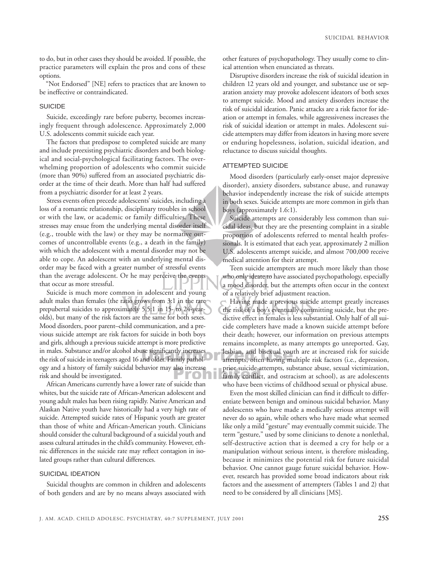to do, but in other cases they should be avoided. If possible, the practice parameters will explain the pros and cons of these options.

"Not Endorsed" [NE] refers to practices that are known to be ineffective or contraindicated.

#### SUICIDE

Suicide, exceedingly rare before puberty, becomes increasingly frequent through adolescence. Approximately 2,000 U.S. adolescents commit suicide each year.

The factors that predispose to completed suicide are many and include preexisting psychiatric disorders and both biological and social-psychological facilitating factors. The overwhelming proportion of adolescents who commit suicide (more than 90%) suffered from an associated psychiatric disorder at the time of their death. More than half had suffered from a psychiatric disorder for at least 2 years.

Stress events often precede adolescents' suicides, including a loss of a romantic relationship, disciplinary troubles in school or with the law, or academic or family difficulties. These stresses may ensue from the underlying mental disorder itself (e.g., trouble with the law) or they may be normative outcomes of uncontrollable events (e.g., a death in the family) with which the adolescent with a mental disorder may not be able to cope. An adolescent with an underlying mental disorder may be faced with a greater number of stressful events than the average adolescent. Or he may perceive the events that occur as more stressful.

Suicide is much more common in adolescent and young adult males than females (the ratio grows from 3:1 in the rare prepubertal suicides to approximately 5.5:1 in 15- to 24-yearolds), but many of the risk factors are the same for both sexes. Mood disorders, poor parent–child communication, and a previous suicide attempt are risk factors for suicide in both boys and girls, although a previous suicide attempt is more predictive in males. Substance and/or alcohol abuse significantly increases the risk of suicide in teenagers aged 16 and older. Family pathology and a history of family suicidal behavior may also increase risk and should be investigated.

African Americans currently have a lower rate of suicide than whites, but the suicide rate of African-American adolescent and young adult males has been rising rapidly. Native American and Alaskan Native youth have historically had a very high rate of suicide. Attempted suicide rates of Hispanic youth are greater than those of white and African-American youth. Clinicians should consider the cultural background of a suicidal youth and assess cultural attitudes in the child's community. However, ethnic differences in the suicide rate may reflect contagion in isolated groups rather than cultural differences.

# SUICIDAL IDEATION

Suicidal thoughts are common in children and adolescents of both genders and are by no means always associated with other features of psychopathology. They usually come to clinical attention when enunciated as threats.

Disruptive disorders increase the risk of suicidal ideation in children 12 years old and younger, and substance use or separation anxiety may provoke adolescent ideators of both sexes to attempt suicide. Mood and anxiety disorders increase the risk of suicidal ideation. Panic attacks are a risk factor for ideation or attempt in females, while aggressiveness increases the risk of suicidal ideation or attempt in males. Adolescent suicide attempters may differ from ideators in having more severe or enduring hopelessness, isolation, suicidal ideation, and reluctance to discuss suicidal thoughts.

#### ATTEMPTED SUICIDE

Mood disorders (particularly early-onset major depressive disorder), anxiety disorders, substance abuse, and runaway behavior independently increase the risk of suicide attempts in both sexes. Suicide attempts are more common in girls than boys (approximately 1.6:1).

Suicide attempts are considerably less common than suicidal ideas, but they are the presenting complaint in a sizable proportion of adolescents referred to mental health professionals. It is estimated that each year, approximately 2 million U.S. adolescents attempt suicide, and almost 700,000 receive medical attention for their attempt.

Teen suicide attempters are much more likely than those who only ideate to have associated psychopathology, especially a mood disorder, but the attempts often occur in the context of a relatively brief adjustment reaction.

Having made a previous suicide attempt greatly increases the risk of a boy's eventually committing suicide, but the predictive effect in females is less substantial. Only half of all suicide completers have made a known suicide attempt before their death; however, our information on previous attempts remains incomplete, as many attempts go unreported. Gay, lesbian, and bisexual youth are at increased risk for suicide attempts, often having multiple risk factors (i.e., depression, prior suicide attempts, substance abuse, sexual victimization, family conflict, and ostracism at school), as are adolescents who have been victims of childhood sexual or physical abuse.

Even the most skilled clinician can find it difficult to differentiate between benign and ominous suicidal behavior. Many adolescents who have made a medically serious attempt will never do so again, while others who have made what seemed like only a mild "gesture" may eventually commit suicide. The term "gesture," used by some clinicians to denote a nonlethal, self-destructive action that is deemed a cry for help or a manipulation without serious intent, is therefore misleading, because it minimizes the potential risk for future suicidal behavior. One cannot gauge future suicidal behavior. However, research has provided some broad indicators about risk factors and the assessment of attempters (Tables 1 and 2) that need to be considered by all clinicians [MS].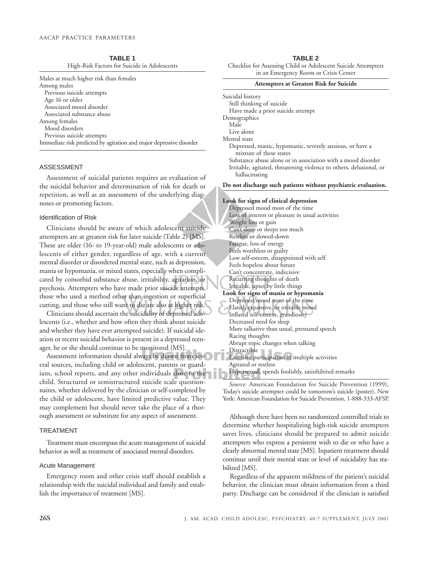| <b>TABLE 1</b>                               |
|----------------------------------------------|
| High-Risk Factors for Suicide in Adolescents |

| Males at much higher risk than females                              |
|---------------------------------------------------------------------|
| Among males                                                         |
| Previous suicide attempts                                           |
| Age 16 or older                                                     |
| Associated mood disorder                                            |
| Associated substance abuse                                          |
| Among females                                                       |
| Mood disorders                                                      |
| Previous suicide attempts                                           |
| Immediate risk predicted by agitation and major depressive disorder |
|                                                                     |

# ASSESSMENT

Assessment of suicidal patients requires an evaluation of the suicidal behavior and determination of risk for death or repetition, as well as an assessment of the underlying diagnoses or promoting factors.

#### Identification of Risk

Clinicians should be aware of which adolescent suicide attempters are at greatest risk for later suicide (Table 2) [MS]. These are older (16- to 19-year-old) male adolescents or adolescents of either gender, regardless of age, with a current mental disorder or disordered mental state, such as depression, mania or hypomania, or mixed states, especially when complicated by comorbid substance abuse, irritability, agitation, or psychosis. Attempters who have made prior suicide attempts, those who used a method other than ingestion or superficial cutting, and those who still want to die are also at higher risk.

Clinicians should ascertain the suicidality of depressed adolescents (i.e., whether and how often they think about suicide and whether they have ever attempted suicide). If suicidal ideation or recent suicidal behavior is present in a depressed teenager, he or she should continue to be monitored [MS].

Assessment information should always be drawn from several sources, including child or adolescent, parents or guardians, school reports, and any other individuals close to the child. Structured or semistructured suicide scale questionnaires, whether delivered by the clinician or self-completed by the child or adolescent, have limited predictive value. They may complement but should never take the place of a thorough assessment or substitute for any aspect of assessment.

# TREATMENT

Treatment must encompass the acute management of suicidal behavior as well as treatment of associated mental disorders.

#### Acute Management

Emergency room and other crisis staff should establish a relationship with the suicidal individual and family and establish the importance of treatment [MS].

|--|--|

Checklist for Assessing Child or Adolescent Suicide Attempters in an Emergency Room or Crisis Center

#### **Attempters at Greatest Risk for Suicide**

Suicidal history Still thinking of suicide Have made a prior suicide attempt Demographics Male Live alone Mental state Depressed, manic, hypomanic, severely anxious, or have a mixture of these states Substance abuse alone or in association with a mood disorder Irritable, agitated, threatening violence to others, delusional, or hallucinating

**Do not discharge such patients without psychiatric evaluation.**

#### **Look for signs of clinical depression**

Depressed mood most of the time Loss of interest or pleasure in usual activities Weight loss or gain Can't sleep or sleeps too much Restless or slowed-down Fatigue, loss of energy Feels worthless or guilty Low self-esteem, disappointed with self Feels hopeless about future Can't concentrate, indecisive Recurring thoughts of death Irritable, upset by little things **Look for signs of mania or hypomania** Depressed mood most of the time Elated, expansive, or irritable mood Inflated self-esteem, grandiosity Decreased need for sleep More talkative than usual, pressured speech Racing thoughts Abrupt topic changes when talking Distractible n Excessive participation in multiple activities Agitated or restless Hypersexual, spends foolishly, uninhibited remarks

*Source:* American Foundation for Suicide Prevention (1999), Today's suicide attempter could be tomorrow's suicide (poster). New York: American Foundation for Suicide Prevention, 1-888-333-AFSP.

Although there have been no randomized controlled trials to determine whether hospitalizing high-risk suicide attempters saves lives, clinicians should be prepared to admit suicide attempters who express a persistent wish to die or who have a clearly abnormal mental state [MS]. Inpatient treatment should continue until their mental state or level of suicidality has stabilized [MS].

Regardless of the apparent mildness of the patient's suicidal behavior, the clinician must obtain information from a third party. Discharge can be considered if the clinician is satisfied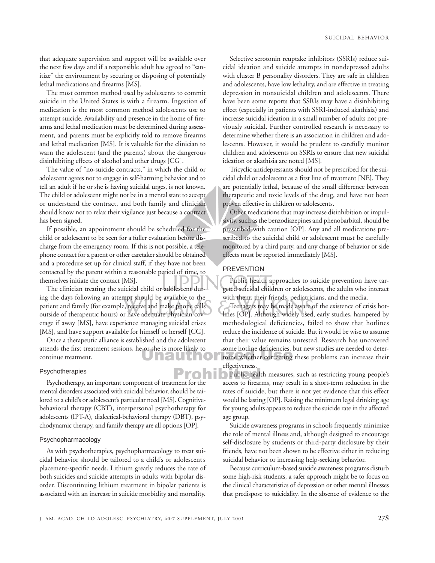that adequate supervision and support will be available over the next few days and if a responsible adult has agreed to "sanitize" the environment by securing or disposing of potentially lethal medications and firearms [MS].

The most common method used by adolescents to commit suicide in the United States is with a firearm. Ingestion of medication is the most common method adolescents use to attempt suicide. Availability and presence in the home of firearms and lethal medication must be determined during assessment, and parents must be explicitly told to remove firearms and lethal medication [MS]. It is valuable for the clinician to warn the adolescent (and the parents) about the dangerous disinhibiting effects of alcohol and other drugs [CG].

The value of "no-suicide contracts," in which the child or adolescent agrees not to engage in self-harming behavior and to tell an adult if he or she is having suicidal urges, is not known. The child or adolescent might not be in a mental state to accept or understand the contract, and both family and clinician should know not to relax their vigilance just because a contract has been signed.

If possible, an appointment should be scheduled for the child or adolescent to be seen for a fuller evaluation before discharge from the emergency room. If this is not possible, a telephone contact for a parent or other caretaker should be obtained and a procedure set up for clinical staff, if they have not been contacted by the parent within a reasonable period of time, to themselves initiate the contact [MS].

The clinician treating the suicidal child or adolescent during the days following an attempt should be available to the patient and family (for example, receive and make phone calls outside of therapeutic hours) or have adequate physician coverage if away [MS], have experience managing suicidal crises [MS], and have support available for himself or herself [CG].

Once a therapeutic alliance is established and the adolescent attends the first treatment sessions, he or she is more likely to continue treatment.

### Psychotherapies

ohi

Psychotherapy, an important component of treatment for the mental disorders associated with suicidal behavior, should be tailored to a child's or adolescent's particular need [MS]. Cognitivebehavioral therapy (CBT), interpersonal psychotherapy for adolescents (IPT-A), dialectical-behavioral therapy (DBT), psychodynamic therapy, and family therapy are all options [OP].

#### Psychopharmacology

As with psychotherapies, psychopharmacology to treat suicidal behavior should be tailored to a child's or adolescent's placement-specific needs. Lithium greatly reduces the rate of both suicides and suicide attempts in adults with bipolar disorder. Discontinuing lithium treatment in bipolar patients is associated with an increase in suicide morbidity and mortality.

Selective serotonin reuptake inhibitors (SSRIs) reduce suicidal ideation and suicide attempts in nondepressed adults with cluster B personality disorders. They are safe in children and adolescents, have low lethality, and are effective in treating depression in nonsuicidal children and adolescents. There have been some reports that SSRIs may have a disinhibiting effect (especially in patients with SSRI-induced akathisia) and increase suicidal ideation in a small number of adults not previously suicidal. Further controlled research is necessary to determine whether there is an association in children and adolescents. However, it would be prudent to carefully monitor children and adolescents on SSRIs to ensure that new suicidal ideation or akathisia are noted [MS].

Tricyclic antidepressants should not be prescribed for the suicidal child or adolescent as a first line of treatment [NE]. They are potentially lethal, because of the small difference between therapeutic and toxic levels of the drug, and have not been proven effective in children or adolescents.

Other medications that may increase disinhibition or impulsivity, such as the benzodiazepines and phenobarbital, should be prescribed with caution [OP]. Any and all medications prescribed to the suicidal child or adolescent must be carefully monitored by a third party, and any change of behavior or side effects must be reported immediately [MS].

# **PREVENTION**

Public health approaches to suicide prevention have targeted suicidal children or adolescents, the adults who interact with them, their friends, pediatricians, and the media.

Teenagers may be made aware of the existence of crisis hotlines [OP]. Although widely used, early studies, hampered by methodological deficiencies, failed to show that hotlines reduce the incidence of suicide. But it would be wise to assume that their value remains untested. Research has uncovered some hotline deficiencies, but new studies are needed to determine whether correcting these problems can increase their effectiveness.

Public health measures, such as restricting young people's access to firearms, may result in a short-term reduction in the rates of suicide, but there is not yet evidence that this effect would be lasting [OP]. Raising the minimum legal drinking age for young adults appears to reduce the suicide rate in the affected age group.

Suicide awareness programs in schools frequently minimize the role of mental illness and, although designed to encourage self-disclosure by students or third-party disclosure by their friends, have not been shown to be effective either in reducing suicidal behavior or increasing help-seeking behavior.

Because curriculum-based suicide awareness programs disturb some high-risk students, a safer approach might be to focus on the clinical characteristics of depression or other mental illnesses that predispose to suicidality. In the absence of evidence to the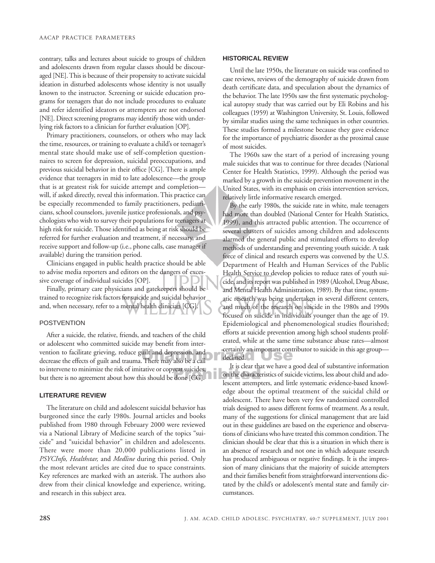contrary, talks and lectures about suicide to groups of children and adolescents drawn from regular classes should be discouraged [NE]. This is because of their propensity to activate suicidal ideation in disturbed adolescents whose identity is not usually known to the instructor. Screening or suicide education programs for teenagers that do not include procedures to evaluate and refer identified ideators or attempters are not endorsed [NE]. Direct screening programs may identify those with underlying risk factors to a clinician for further evaluation [OP].

Primary practitioners, counselors, or others who may lack the time, resources, or training to evaluate a child's or teenager's mental state should make use of self-completion questionnaires to screen for depression, suicidal preoccupations, and previous suicidal behavior in their office [CG]. There is ample evidence that teenagers in mid to late adolescence—the group that is at greatest risk for suicide attempt and completion will, if asked directly, reveal this information. This practice can be especially recommended to family practitioners, pediatricians, school counselors, juvenile justice professionals, and psychologists who wish to survey their populations for teenagers at high risk for suicide. Those identified as being at risk should be referred for further evaluation and treatment, if necessary, and receive support and follow-up (i.e., phone calls, case manager if available) during the transition period.

Clinicians engaged in public health practice should be able to advise media reporters and editors on the dangers of excessive coverage of individual suicides [OP].

Finally, primary care physicians and gatekeepers should be trained to recognize risk factors for suicide and suicidal behavior and, when necessary, refer to a mental health clinician [CG].

#### **POSTVENTION**

After a suicide, the relative, friends, and teachers of the child or adolescent who committed suicide may benefit from intervention to facilitate grieving, reduce guilt and depression, and decrease the effects of guilt and trauma. There may also be a call to intervene to minimize the risk of imitative or copycat suicides, but there is no agreement about how this should be done [CG].

# **LITERATURE REVIEW**

The literature on child and adolescent suicidal behavior has burgeoned since the early 1980s. Journal articles and books published from 1980 through February 2000 were reviewed via a National Library of Medicine search of the topics "suicide" and "suicidal behavior" in children and adolescents. There were more than 20,000 publications listed in *PSYCInfo, Healthstar,* and *Medline* during this period. Only the most relevant articles are cited due to space constraints. Key references are marked with an asterisk. The authors also drew from their clinical knowledge and experience, writing, and research in this subject area.

# **HISTORICAL REVIEW**

Until the late 1950s, the literature on suicide was confined to case reviews, reviews of the demography of suicide drawn from death certificate data, and speculation about the dynamics of the behavior. The late 1950s saw the first systematic psychological autopsy study that was carried out by Eli Robins and his colleagues (1959) at Washington University, St. Louis, followed by similar studies using the same techniques in other countries. These studies formed a milestone because they gave evidence for the importance of psychiatric disorder as the proximal cause of most suicides.

The 1960s saw the start of a period of increasing young male suicides that was to continue for three decades (National Center for Health Statistics, 1999). Although the period was marked by a growth in the suicide prevention movement in the United States, with its emphasis on crisis intervention services, relatively little informative research emerged.

By the early 1980s, the suicide rate in white, male teenagers had more than doubled (National Center for Health Statistics, 1999), and this attracted public attention. The occurrence of several clusters of suicides among children and adolescents alarmed the general public and stimulated efforts to develop methods of understanding and preventing youth suicide. A task force of clinical and research experts was convened by the U.S. Department of Health and Human Services of the Public Health Service to develop policies to reduce rates of youth suicide, and its report was published in 1989 (Alcohol, Drug Abuse, and Mental Health Administration, 1989). By that time, systematic research was being undertaken in several different centers, and much of the research on suicide in the 1980s and 1990s focused on suicide in individuals younger than the age of 19. Epidemiological and phenomenological studies flourished; efforts at suicide prevention among high school students proliferated, while at the same time substance abuse rates—almost certainly an important contributor to suicide in this age group declined.

It is clear that we have a good deal of substantive information on the characteristics of suicide victims, less about child and adolescent attempters, and little systematic evidence-based knowledge about the optimal treatment of the suicidal child or adolescent. There have been very few randomized controlled trials designed to assess different forms of treatment. As a result, many of the suggestions for clinical management that are laid out in these guidelines are based on the experience and observations of clinicians who have treated this common condition. The clinician should be clear that this is a situation in which there is an absence of research and not one in which adequate research has produced ambiguous or negative findings. It is the impression of many clinicians that the majority of suicide attempters and their families benefit from straightforward interventions dictated by the child's or adolescent's mental state and family circumstances.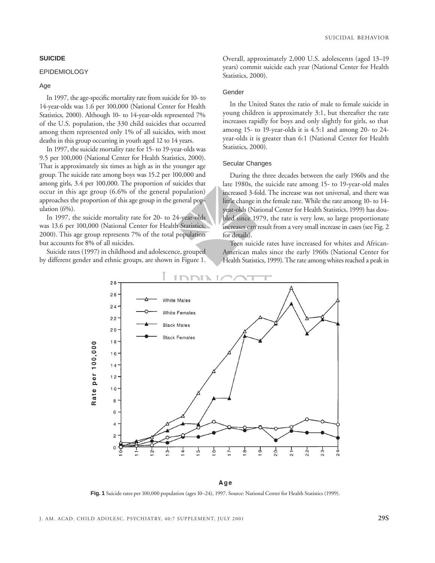# **SUICIDE**

# EPIDEMIOLOGY

#### Age

In 1997, the age-specific mortality rate from suicide for 10- to 14-year-olds was 1.6 per 100,000 (National Center for Health Statistics, 2000). Although 10- to 14-year-olds represented 7% of the U.S. population, the 330 child suicides that occurred among them represented only 1% of all suicides, with most deaths in this group occurring in youth aged 12 to 14 years.

In 1997, the suicide mortality rate for 15- to 19-year-olds was 9.5 per 100,000 (National Center for Health Statistics, 2000). That is approximately six times as high as in the younger age group. The suicide rate among boys was 15.2 per 100,000 and among girls, 3.4 per 100,000. The proportion of suicides that occur in this age group (6.6% of the general population) approaches the proportion of this age group in the general population (6%).

In 1997, the suicide mortality rate for 20- to 24-year-olds was 13.6 per 100,000 (National Center for Health Statistics, 2000). This age group represents 7% of the total population but accounts for 8% of all suicides.

Suicide rates (1997) in childhood and adolescence, grouped by different gender and ethnic groups, are shown in Figure 1.

Overall, approximately 2,000 U.S. adolescents (aged 13–19 years) commit suicide each year (National Center for Health Statistics, 2000).

#### Gender

In the United States the ratio of male to female suicide in young children is approximately 3:1, but thereafter the rate increases rapidly for boys and only slightly for girls, so that among 15- to 19-year-olds it is 4.5:1 and among 20- to 24 year-olds it is greater than 6:1 (National Center for Health Statistics, 2000).

#### Secular Changes

During the three decades between the early 1960s and the late 1980s, the suicide rate among 15- to 19-year-old males increased 3-fold. The increase was not universal, and there was little change in the female rate. While the rate among 10- to 14 year-olds (National Center for Health Statistics, 1999) has doubled since 1979, the rate is very low, so large proportionate increases can result from a very small increase in cases (see Fig. 2 for details).

Teen suicide rates have increased for whites and African-American males since the early 1960s (National Center for Health Statistics, 1999). The rate among whites reached a peak in



Age

**Fig. 1** Suicide rates per 100,000 population (ages 10–24), 1997. Source: National Center for Health Statistics (1999).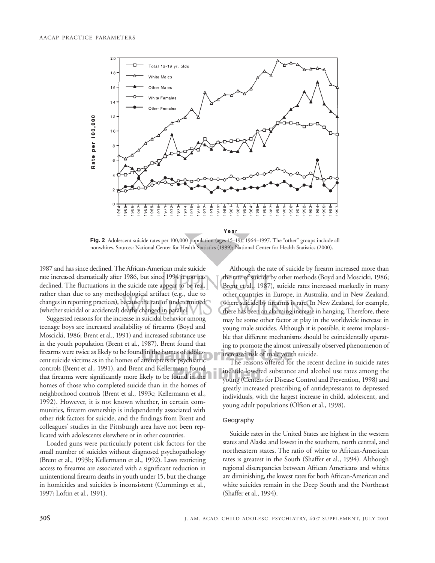

Fig. 2 Adolescent suicide rates per 100,000 population (ages 15-19), 1964-1997. The "other" groups include all nonwhites. Sources: National Center for Health Statistics (1999); National Center for Health Statistics (2000).

1987 and has since declined. The African-American male suicide rate increased dramatically after 1986, but since 1994 it too has declined. The fluctuations in the suicide rate appear to be real, rather than due to any methodological artifact (e.g., due to changes in reporting practices), because the rate of undetermined (whether suicidal or accidental) deaths changed in parallel.

Suggested reasons for the increase in suicidal behavior among teenage boys are increased availability of firearms (Boyd and Moscicki, 1986; Brent et al., 1991) and increased substance use in the youth population (Brent et al., 1987). Brent found that firearms were twice as likely to be found in the homes of adolescent suicide victims as in the homes of attempters or psychiatric controls (Brent et al., 1991), and Brent and Kellermann found that firearms were significantly more likely to be found in the homes of those who completed suicide than in the homes of neighborhood controls (Brent et al., 1993c; Kellermann et al., 1992). However, it is not known whether, in certain communities, firearm ownership is independently associated with other risk factors for suicide, and the findings from Brent and colleagues' studies in the Pittsburgh area have not been replicated with adolescents elsewhere or in other countries.

Loaded guns were particularly potent risk factors for the small number of suicides without diagnosed psychopathology (Brent et al., 1993b; Kellermann et al., 1992). Laws restricting access to firearms are associated with a significant reduction in unintentional firearm deaths in youth under 15, but the change in homicides and suicides is inconsistent (Cummings et al., 1997; Loftin et al., 1991).

Although the rate of suicide by firearm increased more than the rate of suicide by other methods (Boyd and Moscicki, 1986; Brent et al., 1987), suicide rates increased markedly in many other countries in Europe, in Australia, and in New Zealand, where suicide by firearms is rare. In New Zealand, for example, there has been an alarming increase in hanging. Therefore, there may be some other factor at play in the worldwide increase in young male suicides. Although it is possible, it seems implausible that different mechanisms should be coincidentally operating to promote the almost universally observed phenomenon of increased risk of male youth suicide.

The reasons offered for the recent decline in suicide rates include lowered substance and alcohol use rates among the young (Centers for Disease Control and Prevention, 1998) and greatly increased prescribing of antidepressants to depressed individuals, with the largest increase in child, adolescent, and young adult populations (Olfson et al., 1998).

#### Geography

Suicide rates in the United States are highest in the western states and Alaska and lowest in the southern, north central, and northeastern states. The ratio of white to African-American rates is greatest in the South (Shaffer et al., 1994). Although regional discrepancies between African Americans and whites are diminishing, the lowest rates for both African-American and white suicides remain in the Deep South and the Northeast (Shaffer et al., 1994).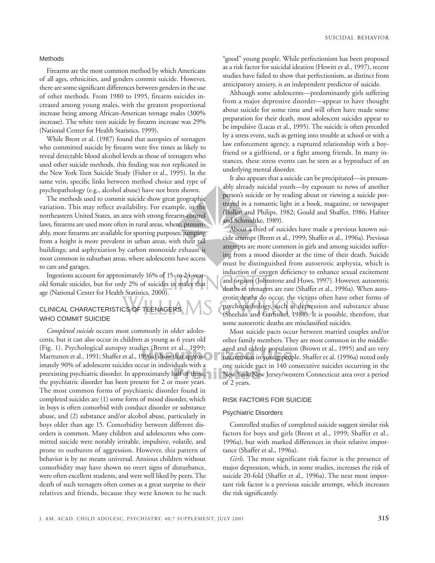## Methods

Firearms are the most common method by which Americans of all ages, ethnicities, and genders commit suicide. However, there are some significant differences between genders in the use of other methods. From 1980 to 1995, firearm suicides increased among young males, with the greatest proportional increase being among African-American teenage males (300% increase). The white teen suicide by firearm increase was 29% (National Center for Health Statistics, 1999).

While Brent et al. (1987) found that autopsies of teenagers who committed suicide by firearm were five times as likely to reveal detectable blood alcohol levels as those of teenagers who used other suicide methods, this finding was not replicated in the New York Teen Suicide Study (Fisher et al., 1995). In the same vein, specific links between method choice and type of psychopathology (e.g., alcohol abuse) have not been shown.

The methods used to commit suicide show great geographic variation. This may reflect availability. For example, in the northeastern United States, an area with strong firearm-control laws, firearms are used more often in rural areas, where, presumably, more firearms are available for sporting purposes; jumping from a height is more prevalent in urban areas, with their tall buildings; and asphyxiation by carbon monoxide exhaust is most common in suburban areas, where adolescents have access to cars and garages.

Ingestions account for approximately 16% of 15- to 24-yearold female suicides, but for only 2% of suicides in males that age (National Center for Health Statistics, 2000).

# CLINICAL CHARACTERISTICS OF TEENAGERS WHO COMMIT SUICIDE

*Completed suicide* occurs most commonly in older adolescents, but it can also occur in children as young as 6 years old (Fig. 1). Psychological autopsy studies (Brent et al., 1999; Marttunen et al., 1991; Shaffer et al., 1996a) show that approximately 90% of adolescent suicides occur in individuals with a preexisting psychiatric disorder. In approximately half of these, the psychiatric disorder has been present for 2 or more years. The most common forms of psychiatric disorder found in completed suicides are (1) some form of mood disorder, which in boys is often comorbid with conduct disorder or substance abuse, and (2) substance and/or alcohol abuse, particularly in boys older than age 15. Comorbidity between different disorders is common. Many children and adolescents who committed suicide were notably irritable, impulsive, volatile, and prone to outbursts of aggression. However, this pattern of behavior is by no means universal. Anxious children without comorbidity may have shown no overt signs of disturbance, were often excellent students, and were well liked by peers. The death of such teenagers often comes as a great surprise to their relatives and friends, because they were known to be such

"good" young people. While perfectionism has been proposed as a risk factor for suicidal ideation (Hewitt et al., 1997), recent studies have failed to show that perfectionism, as distinct from anticipatory anxiety, is an independent predictor of suicide.

Although some adolescents—predominantly girls suffering from a major depressive disorder—appear to have thought about suicide for some time and will often have made some preparation for their death, most adolescent suicides appear to be impulsive (Lucas et al., 1995). The suicide is often preceded by a stress event, such as getting into trouble at school or with a law enforcement agency, a ruptured relationship with a boyfriend or a girlfriend, or a fight among friends. In many instances, these stress events can be seen as a byproduct of an underlying mental disorder.

It also appears that a suicide can be precipitated—in presumably already suicidal youth—by exposure to news of another person's suicide or by reading about or viewing a suicide portrayed in a romantic light in a book, magazine, or newspaper (Bollen and Philips, 1982; Gould and Shaffer, 1986; Hafner and Schmidtke, 1989).

About a third of suicides have made a previous known suicide attempt (Brent et al., 1999; Shaffer et al., 1996a). Previous attempts are more common in girls and among suicides suffering from a mood disorder at the time of their death. Suicide must be distinguished from autoerotic asphyxia, which is induction of oxygen deficiency to enhance sexual excitement and orgasm (Johnstone and Huws, 1997). However, autoerotic deaths in teenagers are rare (Shaffer et al., 1996a). When autoerotic deaths do occur, the victims often have other forms of psychopathology, such as depression and substance abuse (Sheehan and Garfinkel, 1988). It is possible, therefore, that some autoerotic deaths are misclassified suicides.

Most suicide pacts occur between married couples and/or other family members. They are most common in the middleaged and elderly population (Brown et al., 1995) and are very uncommon in young people. Shaffer et al. (1996a) noted only one suicide pact in 140 consecutive suicides occurring in the New York/New Jersey/western Connecticut area over a period of 2 years.

#### RISK FACTORS FOR SUICIDE

#### Psychiatric Disorders

Controlled studies of completed suicide suggest similar risk factors for boys and girls (Brent et al., 1999; Shaffer et al., 1996a), but with marked differences in their relative importance (Shaffer et al., 1996a).

*Girls.* The most significant risk factor is the presence of major depression, which, in some studies, increases the risk of suicide 20-fold (Shaffer et al., 1996a). The next most important risk factor is a previous suicide attempt, which increases the risk significantly.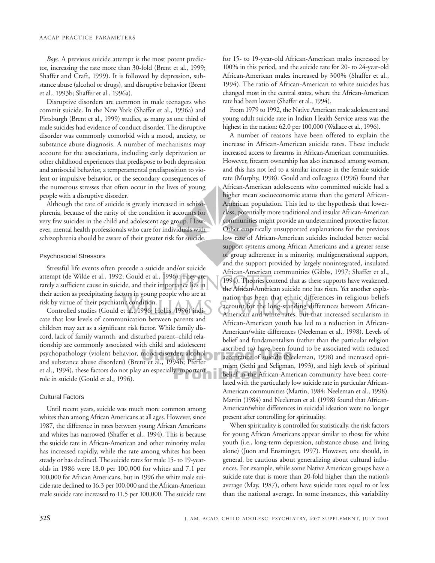*Boys.* A previous suicide attempt is the most potent predictor, increasing the rate more than 30-fold (Brent et al., 1999; Shaffer and Craft, 1999). It is followed by depression, substance abuse (alcohol or drugs), and disruptive behavior (Brent et al., 1993b; Shaffer et al., 1996a).

Disruptive disorders are common in male teenagers who commit suicide. In the New York (Shaffer et al., 1996a) and Pittsburgh (Brent et al., 1999) studies, as many as one third of male suicides had evidence of conduct disorder. The disruptive disorder was commonly comorbid with a mood, anxiety, or substance abuse diagnosis. A number of mechanisms may account for the associations, including early deprivation or other childhood experiences that predispose to both depression and antisocial behavior, a temperamental predisposition to violent or impulsive behavior, or the secondary consequences of the numerous stresses that often occur in the lives of young people with a disruptive disorder.

Although the rate of suicide is greatly increased in schizophrenia, because of the rarity of the condition it accounts for very few suicides in the child and adolescent age group. However, mental health professionals who care for individuals with schizophrenia should be aware of their greater risk for suicide.

#### Psychosocial Stressors

Stressful life events often precede a suicide and/or suicide attempt (de Wilde et al., 1992; Gould et al., 1996). They are rarely a sufficient cause in suicide, and their importance lies in their action as precipitating factors in young people who are at risk by virtue of their psychiatric condition.

Controlled studies (Gould et al., 1996; Hollis, 1996) indicate that low levels of communication between parents and children may act as a significant risk factor. While family discord, lack of family warmth, and disturbed parent–child relationship are commonly associated with child and adolescent psychopathology (violent behavior, mood disorder, alcohol and substance abuse disorders) (Brent et al., 1994b; Pfeffer et al., 1994), these factors do not play an especially important role in suicide (Gould et al., 1996).

#### Cultural Factors

Until recent years, suicide was much more common among whites than among African Americans at all ages. However, since 1987, the difference in rates between young African Americans and whites has narrowed (Shaffer et al., 1994). This is because the suicide rate in African-American and other minority males has increased rapidly, while the rate among whites has been steady or has declined. The suicide rates for male 15- to 19-yearolds in 1986 were 18.0 per 100,000 for whites and 7.1 per 100,000 for African Americans, but in 1996 the white male suicide rate declined to 16.3 per 100,000 and the African-American male suicide rate increased to 11.5 per 100,000. The suicide rate

for 15- to 19-year-old African-American males increased by 100% in this period, and the suicide rate for 20- to 24-year-old African-American males increased by 300% (Shaffer et al., 1994). The ratio of African-American to white suicides has changed most in the central states, where the African-American rate had been lowest (Shaffer et al., 1994).

From 1979 to 1992, the Native American male adolescent and young adult suicide rate in Indian Health Service areas was the highest in the nation: 62.0 per 100,000 (Wallace et al., 1996).

A number of reasons have been offered to explain the increase in African-American suicide rates. These include increased access to firearms in African-American communities. However, firearm ownership has also increased among women, and this has not led to a similar increase in the female suicide rate (Murphy, 1998). Gould and colleagues (1996) found that African-American adolescents who committed suicide had a higher mean socioeconomic status than the general African-American population. This led to the hypothesis that lowerclass, potentially more traditional and insular African-American communities might provide an undetermined protective factor. Other empirically unsupported explanations for the previous low rate of African-American suicides included better social support systems among African Americans and a greater sense of group adherence in a minority, multigenerational support, and the support provided by largely nonintegrated, insulated African-American communities (Gibbs, 1997; Shaffer et al., 1994). Theories contend that as these supports have weakened, the African-American suicide rate has risen. Yet another explanation has been that ethnic differences in religious beliefs account for the long-standing differences between African-American and white rates, but that increased secularism in African-American youth has led to a reduction in African-American/white differences (Neeleman et al., 1998). Levels of belief and fundamentalism (rather than the particular religion ascribed to) have been found to be associated with reduced acceptance of suicide (Neeleman, 1998) and increased optimism (Sethi and Seligman, 1993), and high levels of spiritual belief in the African-American community have been correlated with the particularly low suicide rate in particular African-American communities (Martin, 1984; Neeleman et al., 1998). Martin (1984) and Neeleman et al. (1998) found that African-American/white differences in suicidal ideation were no longer present after controlling for spirituality.

When spirituality is controlled for statistically, the risk factors for young African Americans appear similar to those for white youth (i.e., long-term depression, substance abuse, and living alone) (Juon and Ensminger, 1997). However, one should, in general, be cautious about generalizing about cultural influences. For example, while some Native American groups have a suicide rate that is more than 20-fold higher than the nation's average (May, 1987), others have suicide rates equal to or less than the national average. In some instances, this variability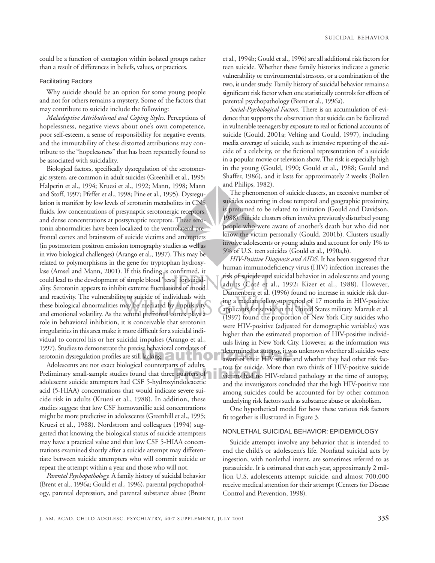could be a function of contagion within isolated groups rather than a result of differences in beliefs, values, or practices.

#### Facilitating Factors

Why suicide should be an option for some young people and not for others remains a mystery. Some of the factors that may contribute to suicide include the following:

*Maladaptive Attributional and Coping Styles.* Perceptions of hopelessness, negative views about one's own competence, poor self-esteem, a sense of responsibility for negative events, and the immutability of these distorted attributions may contribute to the "hopelessness" that has been repeatedly found to be associated with suicidality.

Biological factors, specifically dysregulation of the serotonergic system, are common in adult suicides (Greenhill et al., 1995; Halperin et al., 1994; Kruesi et al., 1992; Mann, 1998; Mann and Stoff, 1997; Pfeffer et al., 1998; Pine et al., 1995). Dysregulation is manifest by low levels of serotonin metabolites in CNS fluids, low concentrations of presynaptic serotonergic receptors, and dense concentrations at postsynaptic receptors. These serotonin abnormalities have been localized to the ventrolateral prefrontal cortex and brainstem of suicide victims and attempters (in postmortem positron emission tomography studies as well as in vivo biological challenges) (Arango et al., 1997). This may be related to polymorphisms in the gene for tryptophan hydroxylase (Amsel and Mann, 2001). If this finding is confirmed, it could lead to the development of simple blood "tests" for suicidality. Serotonin appears to inhibit extreme fluctuations of mood and reactivity. The vulnerability to suicide of individuals with these biological abnormalities may be mediated by impulsivity and emotional volatility. As the ventral prefrontal cortex plays a role in behavioral inhibition, it is conceivable that serotonin irregularities in this area make it more difficult for a suicidal individual to control his or her suicidal impulses (Arango et al., 1997). Studies to demonstrate the precise behavioral correlates of serotonin dysregulation profiles are still lacking.

Adolescents are not exact biological counterparts of adults. Preliminary small-sample studies found that three quarters of adolescent suicide attempters had CSF 5-hydroxyindoleacetic acid (5-HIAA) concentrations that would indicate severe suicide risk in adults (Kruesi et al., 1988). In addition, these studies suggest that low CSF homovanillic acid concentrations might be more predictive in adolescents (Greenhill et al., 1995; Kruesi et al., 1988). Nordstrom and colleagues (1994) suggested that knowing the biological status of suicide attempters may have a practical value and that low CSF 5-HIAA concentrations examined shortly after a suicide attempt may differentiate between suicide attempters who will commit suicide or repeat the attempt within a year and those who will not.

*Parental Psychopathology.* A family history of suicidal behavior (Brent et al., 1996a; Gould et al., 1996), parental psychopathology, parental depression, and parental substance abuse (Brent

et al., 1994b; Gould et al., 1996) are all additional risk factors for teen suicide. Whether these family histories indicate a genetic vulnerability or environmental stressors, or a combination of the two, is under study. Family history of suicidal behavior remains a significant risk factor when one statistically controls for effects of parental psychopathology (Brent et al., 1996a).

*Social-Psychological Factors.* There is an accumulation of evidence that supports the observation that suicide can be facilitated in vulnerable teenagers by exposure to real or fictional accounts of suicide (Gould, 2001a; Velting and Gould, 1997), including media coverage of suicide, such as intensive reporting of the suicide of a celebrity, or the fictional representation of a suicide in a popular movie or television show. The risk is especially high in the young (Gould, 1990; Gould et al., 1988; Gould and Shaffer, 1986), and it lasts for approximately 2 weeks (Bollen and Philips, 1982).

The phenomenon of suicide clusters, an excessive number of suicides occurring in close temporal and geographic proximity, is presumed to be related to imitation (Gould and Davidson, 1988). Suicide clusters often involve previously disturbed young people who were aware of another's death but who did not know the victim personally (Gould, 2001b). Clusters usually involve adolescents or young adults and account for only 1% to 5% of U.S. teen suicides (Gould et al., 1990a,b).

*HIV-Positive Diagnosis and AIDS.* It has been suggested that human immunodeficiency virus (HIV) infection increases the risk of suicide and suicidal behavior in adolescents and young adults (Coté et al., 1992; Kizer et al., 1988). However, Dannenberg et al. (1996) found no increase in suicide risk during a median follow-up period of 17 months in HIV-positive applicants for service in the United States military. Marzuk et al. (1997) found the proportion of New York City suicides who were HIV-positive (adjusted for demographic variables) was higher than the estimated proportion of HIV-positive individuals living in New York City. However, as the information was determined at autopsy, it was unknown whether all suicides were aware of their HIV status and whether they had other risk factors for suicide. More than two thirds of HIV-positive suicide victims had no HIV-related pathology at the time of autopsy, and the investigators concluded that the high HIV-positive rate among suicides could be accounted for by other common underlying risk factors such as substance abuse or alcoholism.

One hypothetical model for how these various risk factors fit together is illustrated in Figure 3.

#### NONLETHAL SUICIDAL BEHAVIOR: EPIDEMIOLOGY

Suicide attempts involve any behavior that is intended to end the child's or adolescent's life. Nonfatal suicidal acts by ingestion, with nonlethal intent, are sometimes referred to as parasuicide. It is estimated that each year, approximately 2 million U.S. adolescents attempt suicide, and almost 700,000 receive medical attention for their attempt (Centers for Disease Control and Prevention, 1998).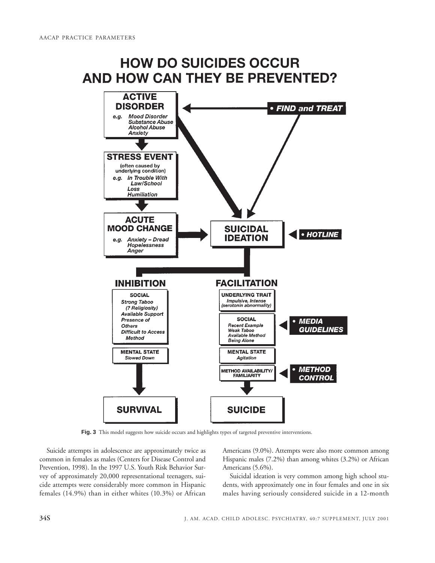

Fig. 3 This model suggests how suicide occurs and highlights types of targeted preventive interventions.

Suicide attempts in adolescence are approximately twice as common in females as males (Centers for Disease Control and Prevention, 1998). In the 1997 U.S. Youth Risk Behavior Survey of approximately 20,000 representational teenagers, suicide attempts were considerably more common in Hispanic females (14.9%) than in either whites (10.3%) or African

Americans (9.0%). Attempts were also more common among Hispanic males (7.2%) than among whites (3.2%) or African Americans (5.6%).

Suicidal ideation is very common among high school students, with approximately one in four females and one in six males having seriously considered suicide in a 12-month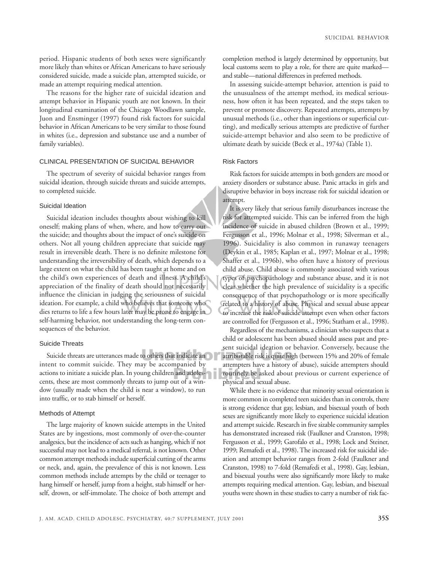period. Hispanic students of both sexes were significantly more likely than whites or African Americans to have seriously considered suicide, made a suicide plan, attempted suicide, or made an attempt requiring medical attention.

The reasons for the higher rate of suicidal ideation and attempt behavior in Hispanic youth are not known. In their longitudinal examination of the Chicago Woodlawn sample, Juon and Ensminger (1997) found risk factors for suicidal behavior in African Americans to be very similar to those found in whites (i.e., depression and substance use and a number of family variables).

# CLINICAL PRESENTATION OF SUICIDAL BEHAVIOR

The spectrum of severity of suicidal behavior ranges from suicidal ideation, through suicide threats and suicide attempts, to completed suicide.

#### Suicidal Ideation

Suicidal ideation includes thoughts about wishing to kill oneself; making plans of when, where, and how to carry out the suicide; and thoughts about the impact of one's suicide on others. Not all young children appreciate that suicide may result in irreversible death. There is no definite milestone for understanding the irreversibility of death, which depends to a large extent on what the child has been taught at home and on the child's own experiences of death and illness. A child's appreciation of the finality of death should not necessarily influence the clinician in judging the seriousness of suicidal ideation. For example, a child who believes that someone who dies returns to life a few hours later may be prone to engage in self-harming behavior, not understanding the long-term consequences of the behavior.

# Suicide Threats

Suicide threats are utterances made to others that indicate an intent to commit suicide. They may be accompanied by actions to initiate a suicide plan. In young children and adolescents, these are most commonly threats to jump out of a window (usually made when the child is near a window), to run into traffic, or to stab himself or herself.

#### Methods of Attempt

The large majority of known suicide attempts in the United States are by ingestions, most commonly of over-the-counter analgesics, but the incidence of acts such as hanging, which if not successful may not lead to a medical referral, is not known. Other common attempt methods include superficial cutting of the arms or neck, and, again, the prevalence of this is not known. Less common methods include attempts by the child or teenager to hang himself or herself, jump from a height, stab himself or herself, drown, or self-immolate. The choice of both attempt and

completion method is largely determined by opportunity, but local customs seem to play a role, for there are quite marked and stable—national differences in preferred methods.

In assessing suicide-attempt behavior, attention is paid to the unusualness of the attempt method, its medical seriousness, how often it has been repeated, and the steps taken to prevent or promote discovery. Repeated attempts, attempts by unusual methods (i.e., other than ingestions or superficial cutting), and medically serious attempts are predictive of further suicide-attempt behavior and also seem to be predictive of ultimate death by suicide (Beck et al., 1974a) (Table 1).

#### Risk Factors

Risk factors for suicide attempts in both genders are mood or anxiety disorders or substance abuse. Panic attacks in girls and disruptive behavior in boys increase risk for suicidal ideation or attempt.

It is very likely that serious family disturbances increase the risk for attempted suicide. This can be inferred from the high incidence of suicide in abused children (Brown et al., 1999; Fergusson et al., 1996; Molnar et al., 1998; Silverman et al., 1996). Suicidality is also common in runaway teenagers (Deykin et al., 1985; Kaplan et al., 1997; Molnar et al., 1998; Shaffer et al., 1996b), who often have a history of previous child abuse. Child abuse is commonly associated with various types of psychopathology and substance abuse, and it is not clear whether the high prevalence of suicidality is a specific consequence of that psychopathology or is more specifically related to a history of abuse. Physical and sexual abuse appear to increase the risk of suicide attempt even when other factors are controlled for (Fergusson et al., 1996; Statham et al., 1998).

Regardless of the mechanisms, a clinician who suspects that a child or adolescent has been abused should assess past and present suicidal ideation or behavior. Conversely, because the attributable risk is quite high (between 15% and 20% of female attempters have a history of abuse), suicide attempters should routinely be asked about previous or current experience of physical and sexual abuse.

While there is no evidence that minority sexual orientation is more common in completed teen suicides than in controls, there is strong evidence that gay, lesbian, and bisexual youth of both sexes are significantly more likely to experience suicidal ideation and attempt suicide. Research in five sizable community samples has demonstrated increased risk (Faulkner and Cranston, 1998; Fergusson et al., 1999; Garofalo et al., 1998; Lock and Steiner, 1999; Remafedi et al., 1998). The increased risk for suicidal ideation and attempt behavior ranges from 2-fold (Faulkner and Cranston, 1998) to 7-fold (Remafedi et al., 1998). Gay, lesbian, and bisexual youths were also significantly more likely to make attempts requiring medical attention. Gay, lesbian, and bisexual youths were shown in these studies to carry a number of risk fac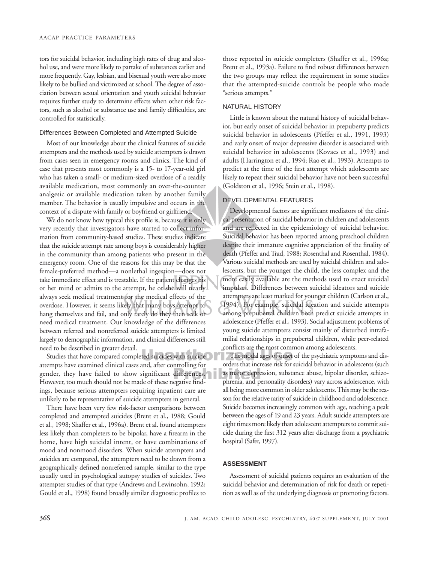tors for suicidal behavior, including high rates of drug and alcohol use, and were more likely to partake of substances earlier and more frequently. Gay, lesbian, and bisexual youth were also more likely to be bullied and victimized at school. The degree of association between sexual orientation and youth suicidal behavior requires further study to determine effects when other risk factors, such as alcohol or substance use and family difficulties, are controlled for statistically.

#### Differences Between Completed and Attempted Suicide

Most of our knowledge about the clinical features of suicide attempters and the methods used by suicide attempters is drawn from cases seen in emergency rooms and clinics. The kind of case that presents most commonly is a 15- to 17-year-old girl who has taken a small- or medium-sized overdose of a readily available medication, most commonly an over-the-counter analgesic or available medication taken by another family member. The behavior is usually impulsive and occurs in the context of a dispute with family or boyfriend or girlfriend.

We do not know how typical this profile is, because it is only very recently that investigators have started to collect information from community-based studies. These studies indicate that the suicide attempt rate among boys is considerably higher in the community than among patients who present in the emergency room. One of the reasons for this may be that the female-preferred method—a nonlethal ingestion—does not take immediate effect and is treatable. If the patient changes his or her mind or admits to the attempt, he or she will nearly always seek medical treatment for the medical effects of the overdose. However, it seems likely that many boys attempt to hang themselves and fail, and only rarely do they then seek or need medical treatment. Our knowledge of the differences between referred and nonreferred suicide attempters is limited largely to demographic information, and clinical differences still need to be described in greater detail.

Studies that have compared completed suicides with suicide attempts have examined clinical cases and, after controlling for gender, they have failed to show significant differences. However, too much should not be made of these negative findings, because serious attempters requiring inpatient care are unlikely to be representative of suicide attempters in general.

There have been very few risk-factor comparisons between completed and attempted suicides (Brent et al., 1988; Gould et al., 1998; Shaffer et al., 1996a). Brent et al. found attempters less likely than completers to be bipolar, have a firearm in the home, have high suicidal intent, or have combinations of mood and nonmood disorders. When suicide attempters and suicides are compared, the attempters need to be drawn from a geographically defined nonreferred sample, similar to the type usually used in psychological autopsy studies of suicides. Two attempter studies of that type (Andrews and Lewinsohn, 1992; Gould et al., 1998) found broadly similar diagnostic profiles to

those reported in suicide completers (Shaffer et al., 1996a; Brent et al., 1993a). Failure to find robust differences between the two groups may reflect the requirement in some studies that the attempted-suicide controls be people who made "serious attempts."

#### NATURAL HISTORY

Little is known about the natural history of suicidal behavior, but early onset of suicidal behavior in prepuberty predicts suicidal behavior in adolescents (Pfeffer et al., 1991, 1993) and early onset of major depressive disorder is associated with suicidal behavior in adolescents (Kovacs et al., 1993) and adults (Harrington et al., 1994; Rao et al., 1993). Attempts to predict at the time of the first attempt which adolescents are likely to repeat their suicidal behavior have not been successful (Goldston et al., 1996; Stein et al., 1998).

## DEVELOPMENTAL FEATURES

Developmental factors are significant mediators of the clinical presentation of suicidal behavior in children and adolescents and are reflected in the epidemiology of suicidal behavior. Suicidal behavior has been reported among preschool children despite their immature cognitive appreciation of the finality of death (Pfeffer and Trad, 1988; Rosenthal and Rosenthal, 1984). Various suicidal methods are used by suicidal children and adolescents, but the younger the child, the less complex and the more easily available are the methods used to enact suicidal impulses. Differences between suicidal ideators and suicide attempters are least marked for younger children (Carlson et al., 1994). For example, suicidal ideation and suicide attempts among prepubertal children both predict suicide attempts in adolescence (Pfeffer et al., 1993). Social adjustment problems of young suicide attempters consist mainly of disturbed intrafamilial relationships in prepubertal children, while peer-related conflicts are the most common among adolescents.

The modal ages of onset of the psychiatric symptoms and disorders that increase risk for suicidal behavior in adolescents (such as major depression, substance abuse, bipolar disorder, schizophrenia, and personality disorders) vary across adolescence, with all being more common in older adolescents. This may be the reason for the relative rarity of suicide in childhood and adolescence. Suicide becomes increasingly common with age, reaching a peak between the ages of 19 and 23 years. Adult suicide attempters are eight times more likely than adolescent attempters to commit suicide during the first 312 years after discharge from a psychiatric hospital (Safer, 1997).

## **ASSESSMENT**

Assessment of suicidal patients requires an evaluation of the suicidal behavior and determination of risk for death or repetition as well as of the underlying diagnosis or promoting factors.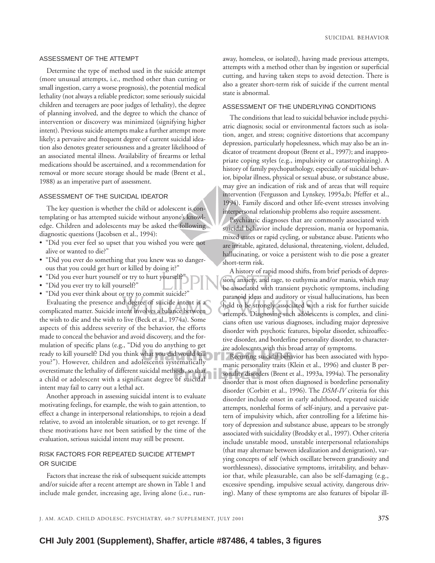# ASSESSMENT OF THE ATTEMPT

Determine the type of method used in the suicide attempt (more unusual attempts, i.e., method other than cutting or small ingestion, carry a worse prognosis), the potential medical lethality (not always a reliable predictor; some seriously suicidal children and teenagers are poor judges of lethality), the degree of planning involved, and the degree to which the chance of intervention or discovery was minimized (signifying higher intent). Previous suicide attempts make a further attempt more likely; a pervasive and frequent degree of current suicidal ideation also denotes greater seriousness and a greater likelihood of an associated mental illness. Availability of firearms or lethal medications should be ascertained, and a recommendation for removal or more secure storage should be made (Brent et al., 1988) as an imperative part of assessment.

#### ASSESSMENT OF THE SUICIDAL IDEATOR

The key question is whether the child or adolescent is contemplating or has attempted suicide without anyone's knowledge. Children and adolescents may be asked the following diagnostic questions (Jacobsen et al., 1994):

- "Did you ever feel so upset that you wished you were not alive or wanted to die?"
- "Did you ever do something that you knew was so dangerous that you could get hurt or killed by doing it?"
- "Did you ever hurt yourself or try to hurt yourself?
- "Did you ever try to kill yourself?"
- "Did you ever think about or try to commit suicide?" Evaluating the presence and degree of suicide intent is a complicated matter. Suicide intent involves a balance between the wish to die and the wish to live (Beck et al., 1974a). Some aspects of this address severity of the behavior, the efforts made to conceal the behavior and avoid discovery, and the formulation of specific plans (e.g., "Did you do anything to get ready to kill yourself? Did you think what you did would kill you?"). However, children and adolescents systematically overestimate the lethality of different suicidal methods, so that a child or adolescent with a significant degree of suicidal intent may fail to carry out a lethal act.

Another approach in assessing suicidal intent is to evaluate motivating feelings, for example, the wish to gain attention, to effect a change in interpersonal relationships, to rejoin a dead relative, to avoid an intolerable situation, or to get revenge. If these motivations have not been satisfied by the time of the evaluation, serious suicidal intent may still be present.

# RISK FACTORS FOR REPEATED SUICIDE ATTEMPT OR SUICIDE

Factors that increase the risk of subsequent suicide attempts and/or suicide after a recent attempt are shown in Table 1 and include male gender, increasing age, living alone (i.e., run-

away, homeless, or isolated), having made previous attempts, attempts with a method other than by ingestion or superficial cutting, and having taken steps to avoid detection. There is also a greater short-term risk of suicide if the current mental state is abnormal.

# ASSESSMENT OF THE UNDERLYING CONDITIONS

The conditions that lead to suicidal behavior include psychiatric diagnosis; social or environmental factors such as isolation, anger, and stress; cognitive distortions that accompany depression, particularly hopelessness, which may also be an indicator of treatment dropout (Brent et al., 1997); and inappropriate coping styles (e.g., impulsivity or catastrophizing). A history of family psychopathology, especially of suicidal behavior, bipolar illness, physical or sexual abuse, or substance abuse, may give an indication of risk and of areas that will require intervention (Fergusson and Lynskey, 1995a,b; Pfeffer et al., 1994). Family discord and other life-event stresses involving interpersonal relationship problems also require assessment.

Psychiatric diagnoses that are commonly associated with suicidal behavior include depression, mania or hypomania, mixed states or rapid cycling, or substance abuse. Patients who are irritable, agitated, delusional, threatening, violent, deluded, hallucinating, or voice a persistent wish to die pose a greater short-term risk.

A history of rapid mood shifts, from brief periods of depression, anxiety, and rage, to euthymia and/or mania, which may be associated with transient psychotic symptoms, including paranoid ideas and auditory or visual hallucinations, has been held to be strongly associated with a risk for further suicide attempts. Diagnosing such adolescents is complex, and clinicians often use various diagnoses, including major depressive disorder with psychotic features, bipolar disorder, schizoaffective disorder, and borderline personality disorder, to characterize adolescents with this broad array of symptoms.

Recurring suicidal behavior has been associated with hypomanic personality traits (Klein et al., 1996) and cluster B personality disorders (Brent et al., 1993a, 1994a). The personality disorder that is most often diagnosed is borderline personality disorder (Corbitt et al., 1996). The *DSM-IV* criteria for this disorder include onset in early adulthood, repeated suicide attempts, nonlethal forms of self-injury, and a pervasive pattern of impulsivity which, after controlling for a lifetime history of depression and substance abuse, appears to be strongly associated with suicidality (Brodsky et al., 1997). Other criteria include unstable mood, unstable interpersonal relationships (that may alternate between idealization and denigration), varying concepts of self (which oscillate between grandiosity and worthlessness), dissociative symptoms, irritability, and behavior that, while pleasurable, can also be self-damaging (e.g., excessive spending, impulsive sexual activity, dangerous driving). Many of these symptoms are also features of bipolar ill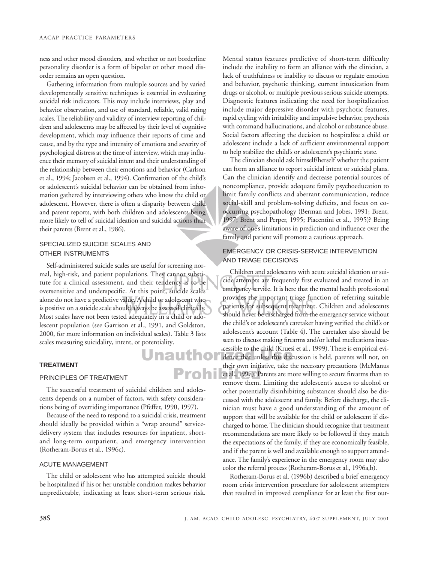ness and other mood disorders, and whether or not borderline personality disorder is a form of bipolar or other mood disorder remains an open question.

Gathering information from multiple sources and by varied developmentally sensitive techniques is essential in evaluating suicidal risk indicators. This may include interviews, play and behavior observation, and use of standard, reliable, valid rating scales. The reliability and validity of interview reporting of children and adolescents may be affected by their level of cognitive development, which may influence their reports of time and cause, and by the type and intensity of emotions and severity of psychological distress at the time of interview, which may influence their memory of suicidal intent and their understanding of the relationship between their emotions and behavior (Carlson et al., 1994; Jacobsen et al., 1994). Confirmation of the child's or adolescent's suicidal behavior can be obtained from information gathered by interviewing others who know the child or adolescent. However, there is often a disparity between child and parent reports, with both children and adolescents being more likely to tell of suicidal ideation and suicidal actions than their parents (Brent et al., 1986).

# SPECIALIZED SUICIDE SCALES AND OTHER INSTRUMENTS

Self-administered suicide scales are useful for screening normal, high-risk, and patient populations. They cannot substitute for a clinical assessment, and their tendency is to be oversensitive and underspecific. At this point, suicide scales alone do not have a predictive value. A child or adolescent who is positive on a suicide scale should always be assessed clinically. Most scales have not been tested adequately in a child or adolescent population (see Garrison et al., 1991, and Goldston, 2000, for more information on individual scales). Table 3 lists scales measuring suicidality, intent, or potentiality.

Jnauthor

**Prohil** 

## **TREATMENT**

#### PRINCIPLES OF TREATMENT

The successful treatment of suicidal children and adolescents depends on a number of factors, with safety considerations being of overriding importance (Pfeffer, 1990, 1997).

Because of the need to respond to a suicidal crisis, treatment should ideally be provided within a "wrap around" servicedelivery system that includes resources for inpatient, shortand long-term outpatient, and emergency intervention (Rotheram-Borus et al., 1996c).

# ACUTE MANAGEMENT

The child or adolescent who has attempted suicide should be hospitalized if his or her unstable condition makes behavior unpredictable, indicating at least short-term serious risk.

Mental status features predictive of short-term difficulty include the inability to form an alliance with the clinician, a lack of truthfulness or inability to discuss or regulate emotion and behavior, psychotic thinking, current intoxication from drugs or alcohol, or multiple previous serious suicide attempts. Diagnostic features indicating the need for hospitalization include major depressive disorder with psychotic features, rapid cycling with irritability and impulsive behavior, psychosis with command hallucinations, and alcohol or substance abuse. Social factors affecting the decision to hospitalize a child or adolescent include a lack of sufficient environmental support to help stabilize the child's or adolescent's psychiatric state.

The clinician should ask himself/herself whether the patient can form an alliance to report suicidal intent or suicidal plans. Can the clinician identify and decrease potential sources of noncompliance, provide adequate family psychoeducation to limit family conflicts and aberrant communication, reduce social-skill and problem-solving deficits, and focus on cooccurring psychopathology (Berman and Jobes, 1991; Brent, 1997; Brent and Perper, 1995; Piacentini et al., 1995)? Being aware of one's limitations in prediction and influence over the family and patient will promote a cautious approach.

# EMERGENCY OR CRISIS-SERVICE INTERVENTION AND TRIAGE DECISIONS

Children and adolescents with acute suicidal ideation or suicide attempts are frequently first evaluated and treated in an emergency service. It is here that the mental health professional provides the important triage function of referring suitable patients for subsequent treatment. Children and adolescents should never be discharged from the emergency service without the child's or adolescent's caretaker having verified the child's or adolescent's account (Table 4). The caretaker also should be seen to discuss making firearms and/or lethal medications inaccessible to the child (Kruesi et al., 1999). There is empirical evidence that unless this discussion is held, parents will not, on their own initiative, take the necessary precautions (McManus et al., 1997). Parents are more willing to secure firearms than to remove them. Limiting the adolescent's access to alcohol or other potentially disinhibiting substances should also be discussed with the adolescent and family. Before discharge, the clinician must have a good understanding of the amount of support that will be available for the child or adolescent if discharged to home. The clinician should recognize that treatment recommendations are more likely to be followed if they match the expectations of the family, if they are economically feasible, and if the parent is well and available enough to support attendance. The family's experience in the emergency room may also color the referral process (Rotheram-Borus et al., 1996a,b).

Rotheram-Borus et al. (1996b) described a brief emergency room crisis intervention procedure for adolescent attempters that resulted in improved compliance for at least the first out-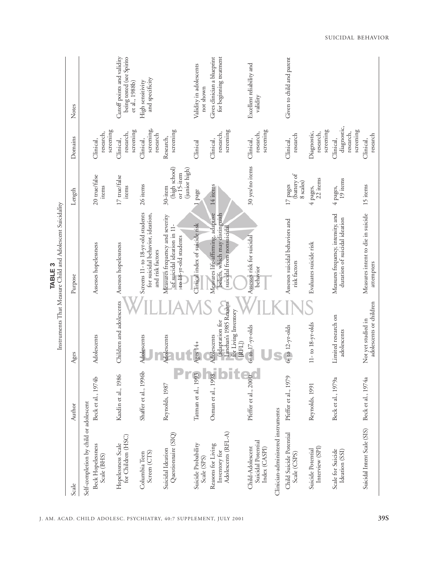| Scale                                                                             | Author                | Ages                                                                                       | Purpose                                                                                          | Length                                                  | Domains                                            | Notes                                                                     |
|-----------------------------------------------------------------------------------|-----------------------|--------------------------------------------------------------------------------------------|--------------------------------------------------------------------------------------------------|---------------------------------------------------------|----------------------------------------------------|---------------------------------------------------------------------------|
| Self-completion by child or adolescent<br><b>Beck Hopelessness</b><br>Scale (BHS) | Beck et al., 1974b    | Adolescents                                                                                | Assesses hopelessness                                                                            | 20 true/false<br>items                                  | screening<br>research,<br>Clinical,                |                                                                           |
| for Children (HSC)<br>Hopelessness Scale                                          | Kazdin et al., 1986   | Children and adolescents                                                                   | Assesses hopelessness                                                                            | 17 true/false<br>items                                  | screening<br>research,<br>Clinical,                | Cutoff points and validity<br>being tested (see Spirito<br>et al., 1988b) |
| Screen (CTS)<br>Columbia Teen                                                     | Shaffer et al., 1996b | Adolescents                                                                                | Screens 11- to 18-yr-old students<br>for suicidal behavior, ideation,<br>and risk factors        | 26 items                                                | screening,<br>research<br>Clinical,                | and specificity<br>High sensitivity                                       |
| Questionnaire (SIQ)<br>Suicidal Ideation                                          | Reynolds, 1987        | dolescents                                                                                 | Measures frequency and severity<br>of suicidal ideation in 11-<br>to 18-yr-old students          | (high school)<br>(junior high)<br>or 15-item<br>30-item | screening<br>Research,                             |                                                                           |
| Suicide Probability<br>Scale (SPS)                                                | Tatman et al., 1993   | ges 14+                                                                                    | Clinical index of suicide risk                                                                   | page                                                    | Clinical                                           | Validity in adolescents<br>not shown                                      |
| Adolescents (RFL-A)<br>Reasons for Living<br>Inventory for                        | Osman et al., 1998    | Linehan's 1985 Reasons<br>for Living Inventory<br>(adaptation for<br>Adolescents<br>[RFL]) | Measures life-affirming, adaptive<br>beliefs, which may distinguish<br>suicidal from nonsuicidal | 14 items                                                | screening<br>research,<br>Clinical,                | Gives clinician a blueprint<br>for beginning treatment                    |
| Suicidal Potential<br>Child-Adolescent<br>Index (CASPI)                           | Pfeffer et al., 2000  | $6-$ to $17-$ yr-olds                                                                      | Assesses risk for suicidal<br>behavior                                                           | 30 yes/no items                                         | screening<br>research,<br>Clinical,                | Excellent reliability and<br>validity                                     |
| Clinician-administered instruments<br>Child Suicide Potential<br>Scale (CSPS)     | Pfeffer et al., 1979  | $6-$ to $12-yr$ -olds                                                                      | Assesses suicidal behaviors and<br>risk factors                                                  | (battery of<br>8 scales)<br>17 pages                    | research<br>Clinical,                              | Given to child and parent                                                 |
| Interview (SPI)<br>Suicide Potential                                              | Reynolds, 1991        | $11 -$ to $18 - yr$ -olds                                                                  | Evaluates suicide risk                                                                           | 22 items<br>4 pages,                                    | screening<br>Diagnostic,<br>research,              |                                                                           |
| Scale for Suicide<br>Ideation (SSI)                                               | Beck et al., 1979a    | Limited research on<br>adolescents                                                         | Measures frequency, intensity, and<br>duration of suicidal ideation                              | 19 items<br>4 pages,                                    | diagnostic,<br>screening<br>research,<br>Clinical, |                                                                           |
| Suicidal Intent Scale (SIS)                                                       | Beck et al., 1974a    | adolescents or children<br>Not yet studied in                                              | Measures intent to die in suicide<br>attempters                                                  | 15 items                                                | research<br>Clinical,                              |                                                                           |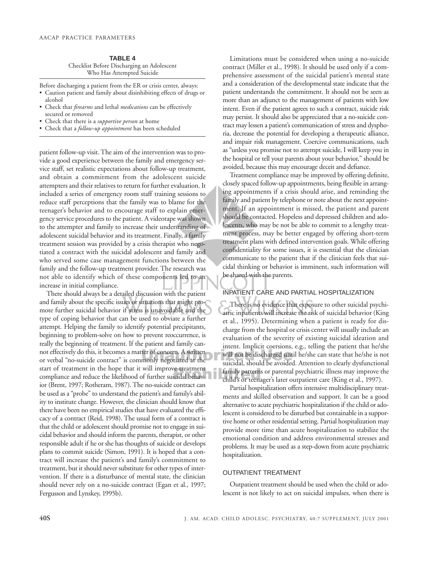**TABLE 4** Checklist Before Discharging an Adolescent Who Has Attempted Suicide

Before discharging a patient from the ER or crisis center, always:

- Caution patient and family about disinhibiting effects of drugs or alcohol
- Check that *firearms* and lethal *medications* can be effectively secured or removed
- Check that there is a *supportive person* at home
- Check that a *follow-up appointment* has been scheduled

patient follow-up visit. The aim of the intervention was to provide a good experience between the family and emergency service staff, set realistic expectations about follow-up treatment, and obtain a commitment from the adolescent suicide attempters and their relatives to return for further evaluation. It included a series of emergency room staff training sessions to reduce staff perceptions that the family was to blame for the teenager's behavior and to encourage staff to explain emergency service procedures to the patient. A videotape was shown to the attempter and family to increase their understanding of adolescent suicidal behavior and its treatment. Finally, a family treatment session was provided by a crisis therapist who negotiated a contract with the suicidal adolescent and family and who served some case management functions between the family and the follow-up treatment provider. The research was not able to identify which of these components led to an increase in initial compliance.

There should always be a detailed discussion with the patient and family about the specific issues or situations that might promote further suicidal behavior if stress is unavoidable and the type of coping behavior that can be used to obviate a further attempt. Helping the family to identify potential precipitants, beginning to problem-solve on how to prevent reoccurrence, is really the beginning of treatment. If the patient and family cannot effectively do this, it becomes a matter of concern. A written or verbal "no-suicide contract" is commonly negotiated at the start of treatment in the hope that it will improve treatment compliance and reduce the likelihood of further suicidal behavior (Brent, 1997; Rotheram, 1987). The no-suicide contract can be used as a "probe" to understand the patient's and family's ability to institute change. However, the clinician should know that there have been no empirical studies that have evaluated the efficacy of a contract (Reid, 1998). The usual form of a contract is that the child or adolescent should promise not to engage in suicidal behavior and should inform the parents, therapist, or other responsible adult if he or she has thoughts of suicide or develops plans to commit suicide (Simon, 1991). It is hoped that a contract will increase the patient's and family's commitment to treatment, but it should never substitute for other types of intervention. If there is a disturbance of mental state, the clinician should never rely on a no-suicide contract (Egan et al., 1997; Fergusson and Lynskey, 1995b).

Limitations must be considered when using a no-suicide contract (Miller et al., 1998). It should be used only if a comprehensive assessment of the suicidal patient's mental state and a consideration of the developmental state indicate that the patient understands the commitment. It should not be seen as more than an adjunct to the management of patients with low intent. Even if the patient agrees to such a contract, suicide risk may persist. It should also be appreciated that a no-suicide contract may lessen a patient's communication of stress and dysphoria, decrease the potential for developing a therapeutic alliance, and impair risk management. Coercive communications, such as "unless you promise not to attempt suicide, I will keep you in the hospital or tell your parents about your behavior," should be avoided, because this may encourage deceit and defiance.

Treatment compliance may be improved by offering definite, closely spaced follow-up appointments, being flexible in arranging appointments if a crisis should arise, and reminding the family and patient by telephone or note about the next appointment. If an appointment is missed, the patient and parent should be contacted. Hopeless and depressed children and adolescents, who may be not be able to commit to a lengthy treatment process, may be better engaged by offering short-term treatment plans with defined intervention goals. While offering confidentiality for some issues, it is essential that the clinician communicate to the patient that if the clinician feels that suicidal thinking or behavior is imminent, such information will be shared with the parents.

# INPATIENT CARE AND PARTIAL HOSPITALIZATION

There is no evidence that exposure to other suicidal psychiatric inpatients will increase the risk of suicidal behavior (King et al., 1995). Determining when a patient is ready for discharge from the hospital or crisis center will usually include an evaluation of the severity of existing suicidal ideation and intent. Implicit coersions, e.g., telling the patient that he/she will not be discharged until he/she can state that he/she is not suicidal, should be avoided. Attention to clearly dysfunctional family patterns or parental psychiatric illness may improve the child's or teenager's later outpatient care (King et al., 1997).

Partial hospitalization offers intensive multidisciplinary treatments and skilled observation and support. It can be a good alternative to acute psychiatric hospitalization if the child or adolescent is considered to be disturbed but containable in a supportive home or other residential setting. Partial hospitalization may provide more time than acute hospitalization to stabilize the emotional condition and address environmental stresses and problems. It may be used as a step-down from acute psychiatric hospitalization.

## OUTPATIENT TREATMENT

Outpatient treatment should be used when the child or adolescent is not likely to act on suicidal impulses, when there is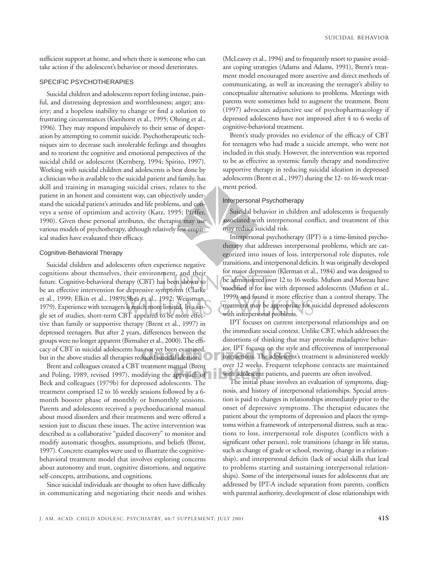sufficient support at home, and when there is someone who can take action if the adolescent's behavior or mood deteriorates.

# SPECIFIC PSYCHOTHERAPIES

Suicidal children and adolescents report feeling intense, painful, and distressing depression and worthlessness; anger; anxiety; and a hopeless inability to change or find a solution to frustrating circumstances (Kienhorst et al., 1995; Ohring et al., 1996). They may respond impulsively to their sense of desperation by attempting to commit suicide. Psychotherapeutic techniques aim to decrease such intolerable feelings and thoughts and to reorient the cognitive and emotional perspectives of the suicidal child or adolescent (Kernberg, 1994; Spirito, 1997). Working with suicidal children and adolescents is best done by a clinician who is available to the suicidal patient and family, has skill and training in managing suicidal crises, relates to the patient in an honest and consistent way, can objectively understand the suicidal patient's attitudes and life problems, and conveys a sense of optimism and activity (Katz, 1995; Pfeffer, 1990). Given these personal attributes, the therapist may use various models of psychotherapy, although relatively few empirical studies have evaluated their efficacy.

#### Cognitive-Behavioral Therapy

Suicidal children and adolescents often experience negative cognitions about themselves, their environment, and their future. Cognitive-behavioral therapy (CBT) has been shown to be an effective intervention for depressive symptoms (Clarke et al., 1999; Elkin et al., 1989; Shea et al., 1992; Weissman, 1979). Experience with teenagers is much more limited. In a single set of studies, short-term CBT appeared to be more effective than family or supportive therapy (Brent et al., 1997) in depressed teenagers. But after 2 years, differences between the groups were no longer apparent (Birmaher et al., 2000). The efficacy of CBT in suicidal adolescents has not yet been examined, but in the above studies all therapies reduced suicidal ideation.

Brent and colleagues created a CBT treatment manual (Brent and Poling, 1989, revised 1997), modifying the approach of Beck and colleagues (1979b) for depressed adolescents. The treatment comprised 12 to 16 weekly sessions followed by a 6 month booster phase of monthly or bimonthly sessions. Parents and adolescents received a psychoeducational manual about mood disorders and their treatments and were offered a session just to discuss these issues. The active intervention was described as a collaborative "guided discovery" to monitor and modify automatic thoughts, assumptions, and beliefs (Brent, 1997). Concrete examples were used to illustrate the cognitivebehavioral treatment model that involves exploring concerns about autonomy and trust, cognitive distortions, and negative self-concepts, attributions, and cognitions.

Since suicidal individuals are thought to often have difficulty in communicating and negotiating their needs and wishes

(McLeavey et al., 1994) and to frequently resort to passive avoidant coping strategies (Adams and Adams, 1991), Brent's treatment model encouraged more assertive and direct methods of communicating, as well as increasing the teenager's ability to conceptualize alternative solutions to problems. Meetings with parents were sometimes held to augment the treatment. Brent (1997) advocates adjunctive use of psychopharmacology if depressed adolescents have not improved after 4 to 6 weeks of cognitive-behavioral treatment.

Brent's study provides no evidence of the efficacy of CBT for teenagers who had made a suicide attempt, who were not included in this study. However, the intervention was reported to be as effective as systemic family therapy and nondirective supportive therapy in reducing suicidal ideation in depressed adolescents (Brent et al., 1997) during the 12- to 16-week treatment period.

## Interpersonal Psychotherapy

Suicidal behavior in children and adolescents is frequently associated with interpersonal conflict, and treatment of this may reduce suicidal risk.

Interpersonal psychotherapy (IPT) is a time-limited psychotherapy that addresses interpersonal problems, which are categorized into issues of loss, interpersonal role disputes, role transitions, and interpersonal deficits. It was originally developed for major depression (Klerman et al., 1984) and was designed to be administered over 12 to 16 weeks. Mufson and Moreau have modified it for use with depressed adolescents (Mufson et al., 1999) and found it more effective than a control therapy. The treatment may be appropriate for suicidal depressed adolescents with interpersonal problems.

IPT focuses on current interpersonal relationships and on the immediate social context. Unlike CBT, which addresses the distortions of thinking that may provoke maladaptive behavior, IPT focuses on the style and effectiveness of interpersonal interactions. The adolescent's treatment is administered weekly over 12 weeks. Frequent telephone contacts are maintained with adolescent patients, and parents are often involved.

The initial phase involves an evaluation of symptoms, diagnosis, and history of interpersonal relationships. Special attention is paid to changes in relationships immediately prior to the onset of depressive symptoms. The therapist educates the patient about the symptoms of depression and places the symptoms within a framework of interpersonal distress, such as reactions to loss, interpersonal role disputes (conflicts with a significant other person), role transitions (change in life status, such as change of grade or school, moving, change in a relationship), and interpersonal deficits (lack of social skills that lead to problems starting and sustaining interpersonal relationships). Some of the interpersonal issues for adolescents that are addressed by IPT-A include separation from parents, conflicts with parental authority, development of close relationships with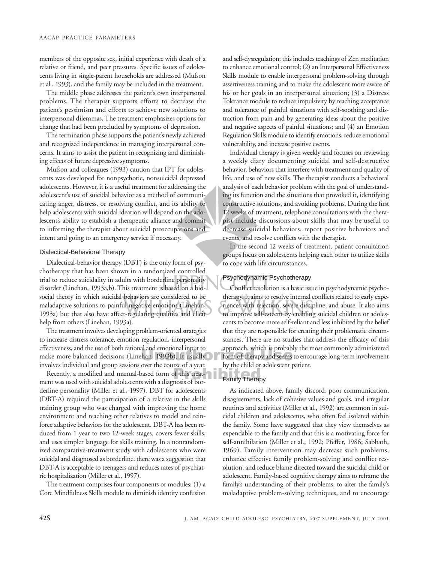members of the opposite sex, initial experience with death of a relative or friend, and peer pressures. Specific issues of adolescents living in single-parent households are addressed (Mufson et al., 1993), and the family may be included in the treatment.

The middle phase addresses the patient's own interpersonal problems. The therapist supports efforts to decrease the patient's pessimism and efforts to achieve new solutions to interpersonal dilemmas. The treatment emphasizes options for change that had been precluded by symptoms of depression.

The termination phase supports the patient's newly achieved and recognized independence in managing interpersonal concerns. It aims to assist the patient in recognizing and diminishing effects of future depressive symptoms.

Mufson and colleagues (1993) caution that IPT for adolescents was developed for nonpsychotic, nonsuicidal depressed adolescents. However, it is a useful treatment for addressing the adolescent's use of suicidal behavior as a method of communicating anger, distress, or resolving conflict, and its ability to help adolescents with suicidal ideation will depend on the adolescent's ability to establish a therapeutic alliance and commit to informing the therapist about suicidal preoccupations and intent and going to an emergency service if necessary.

## Dialectical-Behavioral Therapy

Dialectical-behavior therapy (DBT) is the only form of psychotherapy that has been shown in a randomized controlled trial to reduce suicidality in adults with borderline personality disorder (Linehan, 1993a,b). This treatment is based on a biosocial theory in which suicidal behaviors are considered to be maladaptive solutions to painful negative emotions (Linehan, 1993a) but that also have affect-regulating qualities and elicit help from others (Linehan, 1993a).

The treatment involves developing problem-oriented strategies to increase distress tolerance, emotion regulation, interpersonal effectiveness, and the use of both rational and emotional input to make more balanced decisions (Linehan, 1993b). It usually involves individual and group sessions over the course of a year.

Recently, a modified and manual-based form of this treatment was used with suicidal adolescents with a diagnosis of borderline personality (Miller et al., 1997). DBT for adolescents (DBT-A) required the participation of a relative in the skills training group who was charged with improving the home environment and teaching other relatives to model and reinforce adaptive behaviors for the adolescent. DBT-A has been reduced from 1 year to two 12-week stages, covers fewer skills, and uses simpler language for skills training. In a nonrandomized comparative-treatment study with adolescents who were suicidal and diagnosed as borderline, there was a suggestion that DBT-A is acceptable to teenagers and reduces rates of psychiatric hospitalization (Miller et al., 1997).

The treatment comprises four components or modules: (1) a Core Mindfulness Skills module to diminish identity confusion

and self-dysregulation; this includes teachings of Zen meditation to enhance emotional control; (2) an Interpersonal Effectiveness Skills module to enable interpersonal problem-solving through assertiveness training and to make the adolescent more aware of his or her goals in an interpersonal situation; (3) a Distress Tolerance module to reduce impulsivity by teaching acceptance and tolerance of painful situations with self-soothing and distraction from pain and by generating ideas about the positive and negative aspects of painful situations; and (4) an Emotion Regulation Skills module to identify emotions, reduce emotional vulnerability, and increase positive events.

Individual therapy is given weekly and focuses on reviewing a weekly diary documenting suicidal and self-destructive behavior, behaviors that interfere with treatment and quality of life, and use of new skills. The therapist conducts a behavioral analysis of each behavior problem with the goal of understanding its function and the situations that provoked it, identifying constructive solutions, and avoiding problems. During the first 12 weeks of treatment, telephone consultations with the therapist include discussions about skills that may be useful to decrease suicidal behaviors, report positive behaviors and events, and resolve conflicts with the therapist.

In the second 12 weeks of treatment, patient consultation groups focus on adolescents helping each other to utilize skills to cope with life circumstances.

# Psychodynamic Psychotherapy

Conflict resolution is a basic issue in psychodynamic psychotherapy. It aims to resolve internal conflicts related to early experiences with rejection, severe discipline, and abuse. It also aims to improve self-esteem by enabling suicidal children or adolescents to become more self-reliant and less inhibited by the belief that they are responsible for creating their problematic circumstances. There are no studies that address the efficacy of this approach, which is probably the most commonly administered form of therapy and seems to encourage long-term involvement by the child or adolescent patient.

# Family Therapy

As indicated above, family discord, poor communication, disagreements, lack of cohesive values and goals, and irregular routines and activities (Miller et al., 1992) are common in suicidal children and adolescents, who often feel isolated within the family. Some have suggested that they view themselves as expendable to the family and that this is a motivating force for self-annihilation (Miller et al., 1992; Pfeffer, 1986; Sabbath, 1969). Family intervention may decrease such problems, enhance effective family problem-solving and conflict resolution, and reduce blame directed toward the suicidal child or adolescent. Family-based cognitive therapy aims to reframe the family's understanding of their problems, to alter the family's maladaptive problem-solving techniques, and to encourage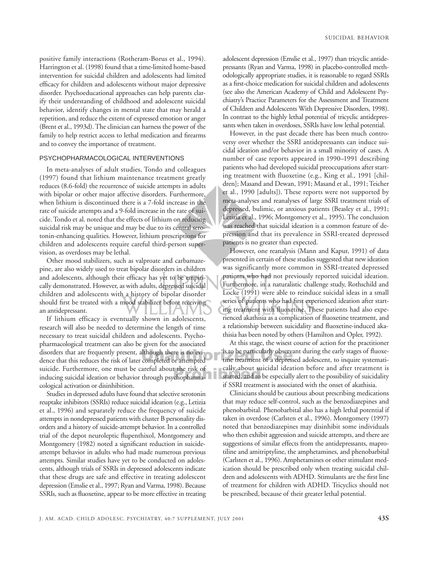positive family interactions (Rotheram-Borus et al., 1994). Harrington et al. (1998) found that a time-limited home-based intervention for suicidal children and adolescents had limited efficacy for children and adolescents without major depressive disorder. Psychoeducational approaches can help parents clarify their understanding of childhood and adolescent suicidal behavior, identify changes in mental state that may herald a repetition, and reduce the extent of expressed emotion or anger (Brent et al., 1993d). The clinician can harness the power of the family to help restrict access to lethal medication and firearms and to convey the importance of treatment.

# PSYCHOPHARMACOLOGICAL INTERVENTIONS

In meta-analyses of adult studies, Tondo and colleagues (1997) found that lithium maintenance treatment greatly reduces (8.6-fold) the recurrence of suicide attempts in adults with bipolar or other major affective disorders. Furthermore, when lithium is discontinued there is a 7-fold increase in the rate of suicide attempts and a 9-fold increase in the rate of suicide. Tondo et al. noted that the effects of lithium on reducing suicidal risk may be unique and may be due to its central serotonin-enhancing qualities. However, lithium prescriptions for children and adolescents require careful third-person supervision, as overdoses may be lethal.

Other mood stabilizers, such as valproate and carbamazepine, are also widely used to treat bipolar disorders in children and adolescents, although their efficacy has yet to be empirically demonstrated. However, as with adults, depressed suicidal children and adolescents with a history of bipolar disorder should first be treated with a mood stabilizer before receiving an antidepressant.

If lithium efficacy is eventually shown in adolescents, research will also be needed to determine the length of time necessary to treat suicidal children and adolescents. Psychopharmacological treatment can also be given for the associated disorders that are frequently present, although there is no evidence that this reduces the risk of later completed or attempted suicide. Furthermore, one must be careful about the risk of inducing suicidal ideation or behavior through psychopharmacological activation or disinhibition.

Studies in depressed adults have found that selective serotonin reuptake inhibitors (SSRIs) reduce suicidal ideation (e.g., Letizia et al., 1996) and separately reduce the frequency of suicide attempts in nondepressed patients with cluster B personality disorders and a history of suicide-attempt behavior. In a controlled trial of the depot neuroleptic flupenthixol, Montgomery and Montgomery (1982) noted a significant reduction in suicideattempt behavior in adults who had made numerous previous attempts. Similar studies have yet to be conducted on adolescents, although trials of SSRIs in depressed adolescents indicate that these drugs are safe and effective in treating adolescent depression (Emslie et al., 1997; Ryan and Varma, 1998). Because SSRIs, such as fluoxetine, appear to be more effective in treating

adolescent depression (Emslie et al., 1997) than tricyclic antidepressants (Ryan and Varma, 1998) in placebo-controlled methodologically appropriate studies, it is reasonable to regard SSRIs as a first-choice medication for suicidal children and adolescents (see also the American Academy of Child and Adolescent Psychiatry's Practice Parameters for the Assessment and Treatment of Children and Adolescents With Depressive Disorders, 1998). In contrast to the highly lethal potential of tricyclic antidepressants when taken in overdoses, SSRIs have low lethal potential.

However, in the past decade there has been much controversy over whether the SSRI antidepressants can induce suicidal ideation and/or behavior in a small minority of cases. A number of case reports appeared in 1990–1991 describing patients who had developed suicidal preoccupations after starting treatment with fluoxetine (e.g., King et al., 1991 [children]; Masand and Dewan, 1991; Masand et al., 1991; Teicher et al., 1990 [adults]). These reports were not supported by meta-analyses and reanalyses of large SSRI treatment trials of depressed, bulimic, or anxious patients (Beasley et al., 1991; Letizia et al., 1996; Montgomery et al., 1995). The conclusion was reached that suicidal ideation is a common feature of depression and that its prevalence in SSRI-treated depressed patients is no greater than expected.

However, one reanalysis (Mann and Kapur, 1991) of data presented in certain of these studies suggested that new ideation was significantly more common in SSRI-treated depressed patients who had not previously reported suicidal ideation. Furthermore, in a naturalistic challenge study, Rothschild and Locke (1991) were able to reinduce suicidal ideas in a small series of patients who had first experienced ideation after starting treatment with fluoxetine. These patients had also experienced akathisia as a complication of fluoxetine treatment, and a relationship between suicidality and fluoxetine-induced akathisia has been noted by others (Hamilton and Opler, 1992).

At this stage, the wisest course of action for the practitioner is to be particularly observant during the early stages of fluoxetine treatment of a depressed adolescent, to inquire systematically about suicidal ideation before and after treatment is started, and to be especially alert to the possibility of suicidality if SSRI treatment is associated with the onset of akathisia.

Clinicians should be cautious about prescribing medications that may reduce self-control, such as the benzodiazepines and phenobarbital. Phenobarbital also has a high lethal potential if taken in overdose (Carlsten et al., 1996). Montgomery (1997) noted that benzodiazepines may disinhibit some individuals who then exhibit aggression and suicide attempts, and there are suggestions of similar effects from the antidepressants, maprotiline and amitriptyline, the amphetamines, and phenobarbital (Carlsten et al., 1996). Amphetamines or other stimulant medication should be prescribed only when treating suicidal children and adolescents with ADHD. Stimulants are the first line of treatment for children with ADHD. Tricyclics should not be prescribed, because of their greater lethal potential.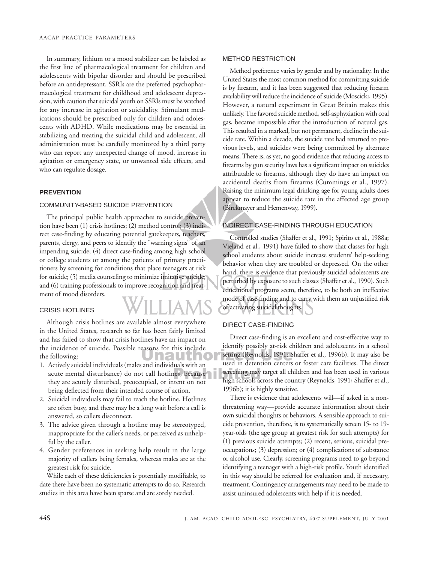In summary, lithium or a mood stabilizer can be labeled as the first line of pharmacological treatment for children and adolescents with bipolar disorder and should be prescribed before an antidepressant. SSRIs are the preferred psychopharmacological treatment for childhood and adolescent depression, with caution that suicidal youth on SSRIs must be watched for any increase in agitation or suicidality. Stimulant medications should be prescribed only for children and adolescents with ADHD. While medications may be essential in stabilizing and treating the suicidal child and adolescent, all administration must be carefully monitored by a third party who can report any unexpected change of mood, increase in agitation or emergency state, or unwanted side effects, and who can regulate dosage.

# **PREVENTION**

# COMMUNITY-BASED SUICIDE PREVENTION

The principal public health approaches to suicide prevention have been (1) crisis hotlines; (2) method control; (3) indirect case-finding by educating potential gatekeepers, teachers, parents, clergy, and peers to identify the "warning signs" of an impending suicide; (4) direct case-finding among high school or college students or among the patients of primary practitioners by screening for conditions that place teenagers at risk for suicide; (5) media counseling to minimize imitative suicide; and (6) training professionals to improve recognition and treatment of mood disorders.

# CRISIS HOTLINES

Although crisis hotlines are available almost everywhere in the United States, research so far has been fairly limited and has failed to show that crisis hotlines have an impact on the incidence of suicide. Possible reasons for this include the following:

- 1. Actively suicidal individuals (males and individuals with an acute mental disturbance) do not call hotlines, because they are acutely disturbed, preoccupied, or intent on not being deflected from their intended course of action.
- 2. Suicidal individuals may fail to reach the hotline. Hotlines are often busy, and there may be a long wait before a call is answered, so callers disconnect.
- 3. The advice given through a hotline may be stereotyped, inappropriate for the caller's needs, or perceived as unhelpful by the caller.
- 4. Gender preferences in seeking help result in the large majority of callers being females, whereas males are at the greatest risk for suicide.

While each of these deficiencies is potentially modifiable, to date there have been no systematic attempts to do so. Research studies in this area have been sparse and are sorely needed.

# METHOD RESTRICTION

Method preference varies by gender and by nationality. In the United States the most common method for committing suicide is by firearm, and it has been suggested that reducing firearm availability will reduce the incidence of suicide (Moscicki, 1995). However, a natural experiment in Great Britain makes this unlikely. The favored suicide method, self-asphyxiation with coal gas, became impossible after the introduction of natural gas. This resulted in a marked, but not permanent, decline in the suicide rate. Within a decade, the suicide rate had returned to previous levels, and suicides were being committed by alternate means. There is, as yet, no good evidence that reducing access to firearms by gun security laws has a significant impact on suicides attributable to firearms, although they do have an impact on accidental deaths from firearms (Cummings et al., 1997). Raising the minimum legal drinking age for young adults does appear to reduce the suicide rate in the affected age group (Birckmayer and Hemenway, 1999).

# INDIRECT CASE-FINDING THROUGH EDUCATION

Controlled studies (Shaffer et al., 1991; Spirito et al., 1988a; Vieland et al., 1991) have failed to show that classes for high school students about suicide increase students' help-seeking behavior when they are troubled or depressed. On the other hand, there is evidence that previously suicidal adolescents are perturbed by exposure to such classes (Shaffer et al., 1990). Such educational programs seem, therefore, to be both an ineffective mode of case-finding and to carry with them an unjustified risk of activating suicidal thoughts.

# DIRECT CASE-FINDING

Direct case-finding is an excellent and cost-effective way to identify possibly at-risk children and adolescents in a school setting (Reynolds, 1991; Shaffer et al., 1996b). It may also be used in detention centers or foster care facilities. The direct screening may target all children and has been used in various high schools across the country (Reynolds, 1991; Shaffer et al., 1996b); it is highly sensitive.

There is evidence that adolescents will—if asked in a nonthreatening way—provide accurate information about their own suicidal thoughts or behaviors. A sensible approach to suicide prevention, therefore, is to systematically screen 15- to 19 year-olds (the age group at greatest risk for such attempts) for (1) previous suicide attempts; (2) recent, serious, suicidal preoccupations; (3) depression; or (4) complications of substance or alcohol use. Clearly, screening programs need to go beyond identifying a teenager with a high-risk profile. Youth identified in this way should be referred for evaluation and, if necessary, treatment. Contingency arrangements may need to be made to assist uninsured adolescents with help if it is needed.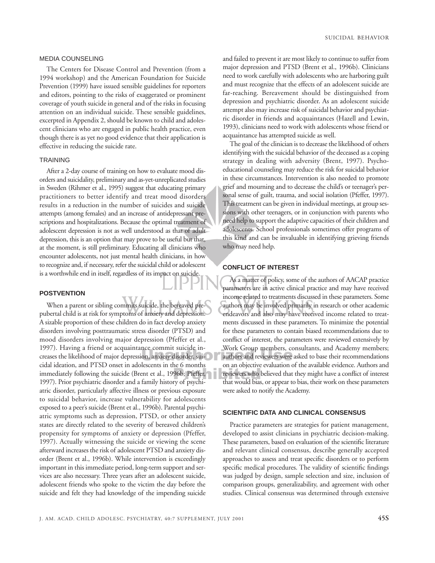# MEDIA COUNSELING

The Centers for Disease Control and Prevention (from a 1994 workshop) and the American Foundation for Suicide Prevention (1999) have issued sensible guidelines for reporters and editors, pointing to the risks of exaggerated or prominent coverage of youth suicide in general and of the risks in focusing attention on an individual suicide. These sensible guidelines, excerpted in Appendix 2, should be known to child and adolescent clinicians who are engaged in public health practice, even though there is as yet no good evidence that their application is effective in reducing the suicide rate.

# **TRAINING**

After a 2-day course of training on how to evaluate mood disorders and suicidality, preliminary and as-yet-unreplicated studies in Sweden (Rihmer et al., 1995) suggest that educating primary practitioners to better identify and treat mood disorders results in a reduction in the number of suicides and suicide attempts (among females) and an increase of antidepressant prescriptions and hospitalizations. Because the optimal treatment of adolescent depression is not as well understood as that of adult depression, this is an option that may prove to be useful but that, at the moment, is still preliminary. Educating all clinicians who encounter adolescents, not just mental health clinicians, in how to recognize and, if necessary, refer the suicidal child or adolescent is a worthwhile end in itself, regardless of its impact on suicide.

# **POSTVENTION**

When a parent or sibling commits suicide, the bereaved prepubertal child is at risk for symptoms of anxiety and depression. A sizable proportion of these children do in fact develop anxiety disorders involving posttraumatic stress disorder (PTSD) and mood disorders involving major depression (Pfeffer et al., 1997). Having a friend or acquaintance commit suicide increases the likelihood of major depression, anxiety disorder, suicidal ideation, and PTSD onset in adolescents in the 6 months immediately following the suicide (Brent et al., 1996b; Pfeffer, 1997). Prior psychiatric disorder and a family history of psychiatric disorder, particularly affective illness or previous exposure to suicidal behavior, increase vulnerability for adolescents exposed to a peer's suicide (Brent et al., 1996b). Parental psychiatric symptoms such as depression, PTSD, or other anxiety states are directly related to the severity of bereaved children's propensity for symptoms of anxiety or depression (Pfeffer, 1997). Actually witnessing the suicide or viewing the scene afterward increases the risk of adolescent PTSD and anxiety disorder (Brent et al., 1996b). While intervention is exceedingly important in this immediate period, long-term support and services are also necessary. Three years after an adolescent suicide, adolescent friends who spoke to the victim the day before the suicide and felt they had knowledge of the impending suicide

and failed to prevent it are most likely to continue to suffer from major depression and PTSD (Brent et al., 1996b). Clinicians need to work carefully with adolescents who are harboring guilt and must recognize that the effects of an adolescent suicide are far-reaching. Bereavement should be distinguished from depression and psychiatric disorder. As an adolescent suicide attempt also may increase risk of suicidal behavior and psychiatric disorder in friends and acquaintances (Hazell and Lewin, 1993), clinicians need to work with adolescents whose friend or acquaintance has attempted suicide as well.

The goal of the clinician is to decrease the likelihood of others identifying with the suicidal behavior of the deceased as a coping strategy in dealing with adversity (Brent, 1997). Psychoeducational counseling may reduce the risk for suicidal behavior in these circumstances. Intervention is also needed to promote grief and mourning and to decrease the child's or teenager's personal sense of guilt, trauma, and social isolation (Pfeffer, 1997). This treatment can be given in individual meetings, at group sessions with other teenagers, or in conjunction with parents who need help to support the adaptive capacities of their children and adolescents. School professionals sometimes offer programs of this kind and can be invaluable in identifying grieving friends who may need help.

# **CONFLICT OF INTEREST**

As a matter of policy, some of the authors of AACAP practice parameters are in active clinical practice and may have received income related to treatments discussed in these parameters. Some authors may be involved primarily in research or other academic endeavors and also may have received income related to treatments discussed in these parameters. To minimize the potential for these parameters to contain biased recommendations due to conflict of interest, the parameters were reviewed extensively by Work Group members, consultants, and Academy members; authors and reviewers were asked to base their recommendations on an objective evaluation of the available evidence. Authors and reviewers who believed that they might have a conflict of interest that would bias, or appear to bias, their work on these parameters were asked to notify the Academy.

#### **SCIENTIFIC DATA AND CLINICAL CONSENSUS**

Practice parameters are strategies for patient management, developed to assist clinicians in psychiatric decision-making. These parameters, based on evaluation of the scientific literature and relevant clinical consensus, describe generally accepted approaches to assess and treat specific disorders or to perform specific medical procedures. The validity of scientific findings was judged by design, sample selection and size, inclusion of comparison groups, generalizability, and agreement with other studies. Clinical consensus was determined through extensive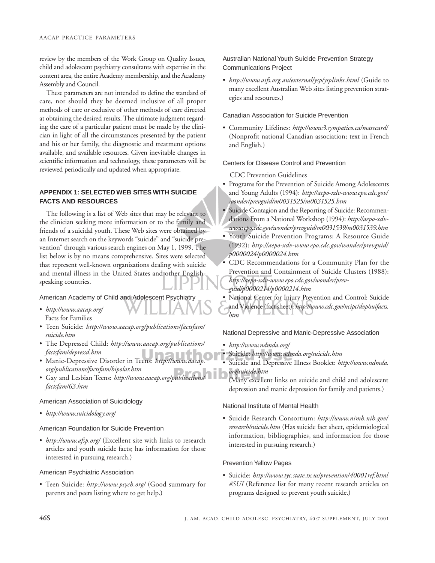review by the members of the Work Group on Quality Issues, child and adolescent psychiatry consultants with expertise in the content area, the entire Academy membership, and the Academy Assembly and Council.

These parameters are not intended to define the standard of care, nor should they be deemed inclusive of all proper methods of care or exclusive of other methods of care directed at obtaining the desired results. The ultimate judgment regarding the care of a particular patient must be made by the clinician in light of all the circumstances presented by the patient and his or her family, the diagnostic and treatment options available, and available resources. Given inevitable changes in scientific information and technology, these parameters will be reviewed periodically and updated when appropriate.

# **APPENDIX 1: SELECTED WEB SITES WITH SUICIDE FACTS AND RESOURCES**

The following is a list of Web sites that may be relevant to the clinician seeking more information or to the family and friends of a suicidal youth. These Web sites were obtained by an Internet search on the keywords "suicide" and "suicide prevention" through various search engines on May 1, 1999. The list below is by no means comprehensive. Sites were selected that represent well-known organizations dealing with suicide and mental illness in the United States and other Englishspeaking countries.

American Academy of Child and Adolescent Psychiatry

- *http://www.aacap.org/* Facts for Families
- Teen Suicide: *http://www.aacap.org/publications/factsfam/ suicide.htm*
- The Depressed Child: *http://www.aacap.org/publications/ factsfam/depressd.htm*
- Manic-Depressive Disorder in Teens: *http://www.aacap. org/publications/factsfam/bipolar.htm*
- Gay and Lesbian Teens: *http://www.aacap.org/publications/ factsfam/63.htm*

# American Association of Suicidology

• *http://www.suicidology.org/*

# American Foundation for Suicide Prevention

• *http://www.afsp.org/* (Excellent site with links to research articles and youth suicide facts; has information for those interested in pursuing research.)

#### American Psychiatric Association

• Teen Suicide: *http://www.psych.org/* (Good summary for parents and peers listing where to get help.)

# Australian National Youth Suicide Prevention Strategy Communications Project

• *http://www.aifs.org.au/external/ysp/ysplinks.html* (Guide to many excellent Australian Web sites listing prevention strategies and resources.)

# Canadian Association for Suicide Prevention

• Community Lifelines: *http://www3.sympatico.ca/masecard/* (Nonprofit national Canadian association; text in French and English.)

## Centers for Disease Control and Prevention

CDC Prevention Guidelines

- Programs for the Prevention of Suicide Among Adolescents and Young Adults (1994): *http://aepo-xdv-www.epo.cdc.gov/ wonder/prevguid/m0031525/m0031525.htm*
- Suicide Contagion and the Reporting of Suicide: Recommendations From a National Workshop (1994): *http://aepo-xdvwww.epo.cdc.gov/wonder/prevguid/m0031539/m0031539.htm*
- Youth Suicide Prevention Programs: A Resource Guide (1992): *http://aepo-xdv-www.epo.cdc.gov/wonder/prevguid/ p0000024/p0000024.htm*
- CDC Recommendations for a Community Plan for the Prevention and Containment of Suicide Clusters (1988): *http://aepo-xdv-www.epo.cdc.gov/wonder/prevguid/p0000214/p0000214.htm*
- National Center for Injury Prevention and Control: Suicide and Violence (fact sheet): *http://www.cdc.gov/ncipc/dvp/suifacts. htm*

National Depressive and Manic-Depressive Association

- *http://www.ndmda.org/*
- Suicide: *http://www.ndmda.org/suicide.htm*
- Suicide and Depressive Illness Booklet: *http://www.ndmda. org/suicide.htm*
	- (Many excellent links on suicide and child and adolescent depression and manic depression for family and patients.)

# National Institute of Mental Health

• Suicide Research Consortium: *http://www.nimh.nih.gov/ research/suicide.htm* (Has suicide fact sheet, epidemiological information, bibliographies, and information for those interested in pursuing research.)

# Prevention Yellow Pages

• Suicide: *http://www.tyc.state.tx.us/prevention/40001ref.html #SUI* (Reference list for many recent research articles on programs designed to prevent youth suicide.)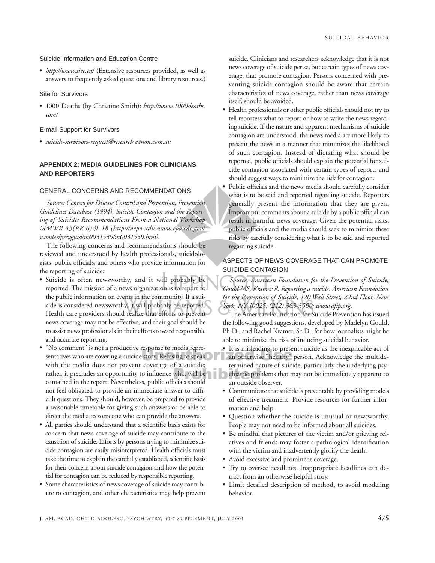## Suicide Information and Education Centre

• *http://www.siec.ca/* (Extensive resources provided, as well as answers to frequently asked questions and library resources.)

## Site for Survivors

• 1000 Deaths (by Christine Smith): *http://www.1000deaths. com/*

#### E-mail Support for Survivors

• *suicide-survivors-request@research.canon.com.au*

# **APPENDIX 2: MEDIA GUIDELINES FOR CLINICIANS AND REPORTERS**

#### GENERAL CONCERNS AND RECOMMENDATIONS

*Source: Centers for Disease Control and Prevention, Prevention Guidelines Database (1994), Suicide Contagion and the Reporting of Suicide: Recommendations From a National Workshop MMWR 43(RR-6):9–18 (http://aepo-xdv www.epo.cdc.gov/ wonder/prevguid/m0031539/m0031539.htm)*.

The following concerns and recommendations should be reviewed and understood by health professionals, suicidologists, public officials, and others who provide information for the reporting of suicide:

- Suicide is often newsworthy, and it will probably be reported. The mission of a news organization is to report to the public information on events in the community. If a suicide is considered newsworthy, it will probably be reported. Health care providers should realize that efforts to prevent news coverage may not be effective, and their goal should be to assist news professionals in their efforts toward responsible and accurate reporting.
- "No comment" is not a productive response to media representatives who are covering a suicide story. Refusing to speak with the media does not prevent coverage of a suicide; rather, it precludes an opportunity to influence what will be contained in the report. Nevertheless, public officials should not feel obligated to provide an immediate answer to difficult questions. They should, however, be prepared to provide a reasonable timetable for giving such answers or be able to direct the media to someone who can provide the answers.
- All parties should understand that a scientific basis exists for concern that news coverage of suicide may contribute to the causation of suicide. Efforts by persons trying to minimize suicide contagion are easily misinterpreted. Health officials must take the time to explain the carefully established, scientific basis for their concern about suicide contagion and how the potential for contagion can be reduced by responsible reporting.
- Some characteristics of news coverage of suicide may contribute to contagion, and other characteristics may help prevent

suicide. Clinicians and researchers acknowledge that it is not news coverage of suicide per se, but certain types of news coverage, that promote contagion. Persons concerned with preventing suicide contagion should be aware that certain characteristics of news coverage, rather than news coverage itself, should be avoided.

- Health professionals or other public officials should not try to tell reporters what to report or how to write the news regarding suicide. If the nature and apparent mechanisms of suicide contagion are understood, the news media are more likely to present the news in a manner that minimizes the likelihood of such contagion. Instead of dictating what should be reported, public officials should explain the potential for suicide contagion associated with certain types of reports and should suggest ways to minimize the risk for contagion.
- Public officials and the news media should carefully consider what is to be said and reported regarding suicide. Reporters generally present the information that they are given. Impromptu comments about a suicide by a public official can result in harmful news coverage. Given the potential risks, public officials and the media should seek to minimize these risks by carefully considering what is to be said and reported regarding suicide.

# ASPECTS OF NEWS COVERAGE THAT CAN PROMOTE SUICIDE CONTAGION

*Source: American Foundation for the Prevention of Suicide, Gould MS, Kramer R. Reporting a suicide. American Foundation for the Prevention of Suicide, 120 Wall Street, 22nd Floor, New York, NY 10025; (212) 363-3500; www.afsp.org*.

The American Foundation for Suicide Prevention has issued the following good suggestions, developed by Madelyn Gould, Ph.D., and Rachel Kramer, Sc.D., for how journalists might be able to minimize the risk of inducing suicidal behavior.

- It is misleading to present suicide as the inexplicable act of an otherwise "healthy" person. Acknowledge the multideш termined nature of suicide, particularly the underlying psychiatric problems that may not be immediately apparent to an outside observer.
- Communicate that suicide is preventable by providing models of effective treatment. Provide resources for further information and help.
- Question whether the suicide is unusual or newsworthy. People may not need to be informed about all suicides.
- Be mindful that pictures of the victim and/or grieving relatives and friends may foster a pathological identification with the victim and inadvertently glorify the death.
- Avoid excessive and prominent coverage.
- Try to oversee headlines. Inappropriate headlines can detract from an otherwise helpful story.
- Limit detailed description of method, to avoid modeling behavior.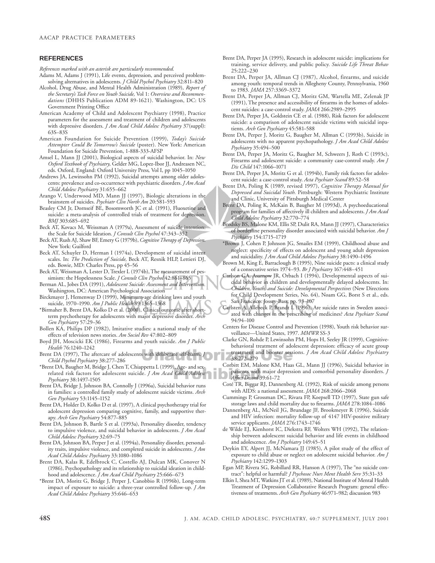#### **REFERENCES**

- *References marked with an asterisk are particularly recommended.*
- Adams M, Adams J (1991), Life events, depression, and perceived problemsolving alternatives in adolescents. *J Child Psychol Psychiatry* 32:811–820 Alcohol, Drug Abuse, and Mental Health Administration (1989), *Report of the Secretary's Task Force on Youth Suicide,* Vol 1: *Overview and Recommen-*
- *dations* (DHHS Publication ADM 89-1621). Washington, DC: US Government Printing Office
- American Academy of Child and Adolescent Psychiatry (1998), Practice parameters for the assessment and treatment of children and adolescents with depressive disorders. *J Am Acad Child Adolesc Psychiatry* 37(suppl): 63S–83S
- American Foundation for Suicide Prevention (1999), *Today's Suicide Attempter Could Be Tomorrow's Suicide* (poster). New York: American Foundation for Suicide Prevention, 1-888-333-AFSP
- Amsel L, Mann JJ (2001), Biological aspects of suicidal behavior. In: *New Oxford Textbook of Psychiatry,* Gelder MG, Lopez-Ibor JJ, Andreasen NC, eds. Oxford, England: Oxford University Press*,* Vol I, pp 1045–1050
- Andrews JA, Lewinsohn PM (1992), Suicidal attempts among older adolescents: prevalence and co-occurrence with psychiatric disorders. *J Am Acad Child Adolesc Psychiatry* 31:655–662
- Arango V, Underwood MD, Mann JJ (1997), Biologic alterations in the brainstem of suicides. *Psychiatr Clin North Am* 20:581–593
- Beasley CM Jr, Dornseif BE, Bosomworth JC et al. (1991), Fluoxetine and suicide: a meta-analysis of controlled trials of treatment for depression. *BMJ* 303:685–692
- Beck AT, Kovacs M, Weissman A (1979a), Assessment of suicide intention: the Scale for Suicide Ideation. *J Consult Clin Psychol* 47:343–352
- Beck AT, Rush AJ, Shaw BF, Emery G (1979b), *Cognitive Therapy of Depression*. New York: Guilford
- Beck AT, Schuyler D, Herman I (1974a), Development of suicidal intent scales. In: *The Prediction of Suicide,* Beck AT, Resnik HLP, Lettieri DJ, eds. Bowie, MD: Charles Press, pp 45–56
- Beck AT, Weissman A, Lester D, Trexler L (1974b), The measurement of pessimism: the Hopelessness Scale. *J Consult Clin Psychol* 42:861–865
- Berman AL, Jobes DA (1991), *Adolescent Suicide: Assessment and Intervention.* Washington, DC: American Psychological Association
- Birckmayer J, Hemenway D (1999), Minimum-age drinking laws and youth suicide, 1970–1990. *Am J Public Health* 89:1365–1368
- \*Birmaher B, Brent DA, Kolko D et al. (2000), Clinical outcome after shortterm psychotherapy for adolescents with major depressive disorder. *Arch Gen Psychiatry* 57:29–36
- Bollen KA, Philips DP (1982), Imitative studies: a national study of the effects of television news stories. *Am Sociol Rev* 47:802–809
- Boyd JH, Moscicki EK (1986), Firearms and youth suicide. *Am J Public Health* 76:1240–1242
- Brent DA (1997), The aftercare of adolescents with deliberate self-harm. *J Child Psychol Psychiatry* 38:277–286
- \*Brent DA, Baugher M, Bridge J, Chen T, Chiappetta L (1999), Age- and sexrelated risk factors for adolescent suicide. *J Am Acad Child Adolesc Psychiatry* 38:1497–1505
- Brent DA, Bridge J, Johnson BA, Connolly J (1996a), Suicidal behavior runs in families: a controlled family study of adolescent suicide victims. *Arch Gen Psychiatry* 53:1145–1152
- Brent DA, Holder D, Kolko D et al. (1997), A clinical psychotherapy trial for adolescent depression comparing cognitive, family, and supportive therapy. *Arch Gen Psychiatry* 54:877–885
- Brent DA, Johnson B, Bartle S et al. (1993a), Personality disorder, tendency to impulsive violence, and suicidal behavior in adolescents. *J Am Acad Child Adolesc Psychiatry* 32:69–75
- Brent DA, Johnson BA, Perper J et al. (1994a), Personality disorder, personality traits, impulsive violence, and completed suicide in adolescents. *J Am Acad Child Adolesc Psychiatry* 33:1080–1086
- Brent DA, Kalas R, Edelbrock C, Costello AJ, Dulcan MK, Conover N (1986), Psychopathology and its relationship to suicidal ideation in childhood and adolescence. *J Am Acad Child Psychiatry* 25:666–673
- \*Brent DA, Moritz G, Bridge J, Perper J, Canobbio R (1996b), Long-term impact of exposure to suicide: a three-year controlled follow-up. *J Am Acad Child Adolesc Psychiatry* 35:646–653
- Brent DA, Perper JA (1995), Research in adolescent suicide: implications for training, service delivery, and public policy. *Suicide Life Threat Behav* 25:222–230
- Brent DA, Perper JA, Allman CJ (1987), Alcohol, firearms, and suicide among youth: temporal trends in Allegheny County, Pennsylvania, 1960 to 1983. *JAMA* 257:3369–3372
- Brent DA, Perper JA, Allman CJ, Moritz GM, Wartella ME, Zelenak JP (1991), The presence and accessibility of firearms in the homes of adolescent suicides: a case-control study. *JAMA* 266:2989–2995
- Brent DA, Perper JA, Goldstein CE et al. (1988), Risk factors for adolescent suicide: a comparison of adolescent suicide victims with suicidal inpatients. *Arch Gen Psychiatry* 45:581–588
- Brent DA, Perper J, Moritz G, Baugher M, Allman C (1993b), Suicide in adolescents with no apparent psychopathology. *J Am Acad Child Adolesc Psychiatry* 35:494–500
- Brent DA, Perper JA, Moritz G, Baugher M, Schweers J, Roth C (1993c), Firearms and adolescent suicide: a community case-control study. *Am J Dis Child* 147:1066–1071
- Brent DA, Perper JA, Moritz G et al. (1994b), Family risk factors for adolescent suicide: a case-control study. *Acta Psychiatr Scand* 89:52–58
- Brent DA, Poling K (1989, revised 1997), *Cognitive Therapy Manual for Depressed and Suicidal Youth.* Pittsburgh: Western Psychiatric Institute and Clinic, University of Pittsburgh Medical Center
- Brent DA, Poling K, McKain B, Baugher M (1993d), A psychoeducational program for families of affectively ill children and adolescents. *J Am Acad Child Adolesc Psychiatry* 32:770–774
- Brodsky BS, Malone KM, Ellis SP, Dulit RA, Mann JJ (1997), Characteristics of borderline personality disorder associated with suicidal behavior. *Am J Psychiatry* 154:1715–1719
- \*Brown J, Cohen P, Johnson JG, Smailes EM (1999), Childhood abuse and neglect: specificity of effects on adolescent and young adult depression and suicidality. *J Am Acad Child Adolesc Psychiatry* 38:1490–1496
- Brown M, King E, Barraclough B (1995), Nine suicide pacts: a clinical study of a consecutive series 1974–93. *Br J Psychiatry* 167:448–451
- Carlson GA, Asarnow JR, Orbach I (1994), Developmental aspects of suicidal behavior in children and developmentally delayed adolescents. In: *Children, Youth, and Suicide: Developmental Perspectives* (New Directions for Child Development Series, No. 64), Noam GG, Borst S et al., eds. San Francisco: Jossey-Bass, pp. 93–107
- Carlsten A, Allebeck P, Brandt L (1996), Are suicide rates in Sweden associated with changes in the prescribing of medicines? *Acta Psychiatr Scand* 94:94–100
- Centers for Disease Control and Prevention (1998), Youth risk behavior surveillance—United States, 1997. *MMWR* SS-3
- Clarke GN, Rohde P, Lewinsohn PM, Hops H, Seeley JR (1999), Cognitivebehavioral treatment of adolescent depression: efficacy of acute group treatment and booster sessions. *J Am Acad Child Adolesc Psychiatry* 38:272–279
- Corbitt EM, Malone KM, Haas GL, Mann JJ (1996), Suicidal behavior in patients with major depression and comorbid personality disorders. *J Affect Disord* 39:61–72
- Coté TR, Biggar RJ, Dannenberg AL (1992), Risk of suicide among persons with AIDS: a national assessment. *JAMA* 268:2066–2068
- Cummings P, Grossman DC, Rivara FP, Koepsell TD (1997), State gun safe storage laws and child mortality due to firearms. *JAMA* 278:1084–1086
- Dannenberg AL, McNeil JG, Brundage JF, Brookmeyer R (1996), Suicide and HIV infection: mortality follow-up of 4147 HIV-positive military service applicants. *JAMA* 276:1743–1746
- de Wilde EJ, Kienhorst IC, Diekstra RF, Wolters WH (1992), The relationship between adolescent suicidal behavior and life events in childhood and adolescence. *Am J Psychiatry* 149:45–51
- Deykin EY, Alpert JJ, McNamara JJ (1985), A pilot study of the effect of exposure to child abuse or neglect on adolescent suicidal behavior. *Am J Psychiatry* 142:1299–1303
- Egan MP, Rivera SG, Robillard RR, Hanson A (1997), The "no suicide contract": helpful or harmful? *J Psychosoc Nurs Ment Health Serv* 35:31–33
- Elkin I, Shea MT, Watkins JT et al. (1989), National Institute of Mental Health Treatment of Depression Collaborative Research Program: general effectiveness of treatments. *Arch Gen Psychiatry* 46:971–982; discussion 983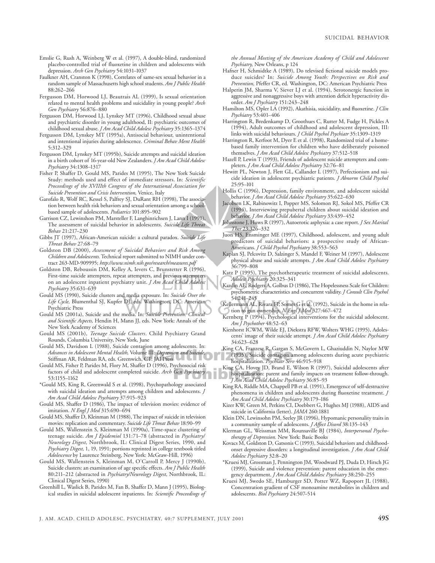- Emslie G, Rush A, Weinberg W et al. (1997), A double-blind, randomized placebo-controlled trial of fluoxetine in children and adolescents with depression. *Arch Gen Psychiatry* 54:1031–1037
- Faulkner AH, Cranston K (1998), Correlates of same-sex sexual behavior in a random sample of Massachusetts high school students. *Am J Public Health* 88:262–266
- Fergusson DM, Horwood LJ, Beautrais AL (1999), Is sexual orientation related to mental health problems and suicidality in young people? *Arch Gen Psychiatry* 56:876–880
- Fergusson DM, Horwood LJ, Lynskey MT (1996), Childhood sexual abuse and psychiatric disorder in young adulthood, II: psychiatric outcomes of childhood sexual abuse. *J Am Acad Child Adolesc Psychiatry* 35:1365–1374
- Fergusson DM, Lynskey MT (1995a), Antisocial behaviour, unintentional and intentional injuries during adolescence. *Criminal Behav Ment Health* 5:312–329
- Fergusson DM, Lynskey MT (1995b), Suicide attempts and suicidal ideation in a birth cohort of 16-year-old New Zealanders. *J Am Acad Child Adolesc Psychiatry* 34:1308–1317
- Fisher P, Shaffer D, Gould MS, Parides M (1995), The New York Suicide Study: methods used and effect of immediate stressors. In: *Scientific Proceedings of the XVIIIth Congress of the International Association for Suicide Prevention and Crisis Intervention,* Venice, Italy
- Garofalo R, Wolf RC, Kessel S, Palfrey SJ, DuRant RH (1998), The association between health risk behaviors and sexual orientation among a schoolbased sample of adolescents. *Pediatrics* 101:895–902
- Garrison CZ, Lewinshon PM, Marsteller F, Langhinrichsen J, Lann I (1991), The assessment of suicidal behavior in adolescents. *Suicide Life Threat Behav* 21:217–230
- Gibbs JT (1997), African-American suicide: a cultural paradox. *Suicide Life Threat Behav* 27:68–79
- Goldston DB (2000), *Assessment of Suicidal Behaviors and Risk Among Children and Adolescents.*Technical report submitted to NIMH under contract 263-MD-909995; *http://www.nimh.nih.gov/research/measures.pdf*
- Goldston DB, Reboussin DM, Kelley A, Ievers C, Brunstetter R (1996), First-time suicide attempters, repeat attempters, and previous attempters on an adolescent inpatient psychiatry unit. *J Am Acad Child Adolesc Psychiatry* 35:631–639
- Gould MS (1990), Suicide clusters and media exposure. In: *Suicide Over the Life Cycle,* Blumenthal SJ, Kupfer DJ, eds. Washington, DC: American Psychiatric Press
- Gould MS (2001a), Suicide and the media. In: *Suicide Prevention: Clinical and Scientific Aspects,* Hendin H, Mann JJ, eds. New York: Annals of the New York Academy of Sciences
- Gould MS (2001b), *Teenage Suicide Clusters*. Child Psychiatry Grand Rounds, Columbia University, New York, June
- Gould MS, Davidson L (1988), Suicide contagion among adolescents. In: *Advances in Adolescent Mental Health,* Volume III: *Depression and Suicide,* Stiffman AR, Feldman RA, eds. Greenwich, CT: JAI Press
- Gould MS, Fisher P, Parides M, Flory M, Shaffer D (1996), Psychosocial risk factors of child and adolescent completed suicide. *Arch Gen Psychiatry* 53:1155–1162
- \*Gould MS, King R, Greenwald S et al. (1998), Psychopathology associated with suicidal ideation and attempts among children and adolescents. *J Am Acad Child Adolesc Psychiatry* 37:915–923
- Gould MS, Shaffer D (1986), The impact of television movies: evidence of imitation. *N Engl J Med* 315:690–694
- Gould MS, Shaffer D, Kleinman M (1988), The impact of suicide in television movies: replication and commentary. *Suicide Life Threat Behav* 18:90–99
- Gould MS, Wallenstein S, Kleinman M (1990a), Time-space clustering of teenage suicide. *Am J Epidemiol* 131:71–78 (abstracted in *Psychiatry/ Neurology Digest,* Northbrook, IL: Clinical Digest Series, 1990, and *Psychiatry Digest,* 1, 19, 1991; portions reprinted in college textbook titled *Adolescence* by Laurence Steinberg, New York: McGraw-Hill, 1996)
- Gould MS, Wallenstein S, Kleinman M, O'Carroll P, Mercy J (1990b), Suicide clusters: an examination of age specific effects. *Am J Public Health* 80:211–212 (abstracted in *Psychiatry/Neurology Digest,* Northbrook, IL: Clinical Digest Series, 1990)
- Greenhill L, Waslick B, Parides M, Fan B, Shaffer D, Mann J (1995), Biological studies in suicidal adolescent inpatients. In: *Scientific Proceedings of*

*the Annual Meeting of the American Academy of Child and Adolescent Psychiatry,* New Orleans, p 124

- Hafner H, Schmidtke A (1989), Do televised fictional suicide models produce suicides? In: *Suicide Among Youth: Perspectives on Risk and Prevention,* Pfeffer CR, ed. Washington, DC: American Psychiatric Press
- Halperin JM, Sharma V, Siever LJ et al. (1994), Serotonergic function in aggressive and nonaggressive boys with attention deficit hyperactivity disorder. *Am J Psychiatry* 151:243–248
- Hamilton MS, Opler LA (1992), Akathisia, suicidality, and fluoxetine. *J Clin Psychiatry* 53:401–406
- Harrington R, Bredenkamp D, Groothues C, Rutter M, Fudge H, Pickles A (1994), Adult outcomes of childhood and adolescent depression, III: links with suicidal behaviours. *J Child Psychol Psychiatr* 35:1309–1319
- Harrington R, Kerfoot M, Dyer E et al. (1998), Randomized trial of a homebased family intervention for children who have deliberately poisoned themselves. *J Am Acad Child Adolesc Psychiatry* 37:512–518
- Hazell P, Lewin T (1993), Friends of adolescent suicide attempters and completers. *J Am Acad Child Adolesc Psychiatry* 32:76–81
- Hewitt PL, Newton J, Flett GL, Callander L (1997), Perfectionism and suicide ideation in adolescent psychiatric patients. *J Abnorm Child Psychol* 25:95–101
- Hollis C (1996), Depression, family environment, and adolescent suicidal behavior. *J Am Acad Child Adolesc Psychiatry* 35:622–630
- Jacobsen LK, Rabinowitz I, Popper MS, Solomon RJ, Sokol MS, Pfeffer CR (1994), Interviewing prepubertal children about suicidal ideation and behavior. *J Am Acad Child Adolesc Psychiatry* 33:439–452
- Johnstone J, Huws R (1997), Autoerotic asphyxia: a case report. *J Sex Marital Ther* 23:326–332
- Juon HS, Ensminger ME (1997), Childhood, adolescent, and young adult predictors of suicidal behaviors: a prospective study of African-Americans. *J Child Psychol Psychiatry* 38:553–563
- Kaplan SJ, Pelcovitz D, Salzinger S, Mandel F, Weiner M (1997), Adolescent physical abuse and suicide attempts. *J Am Acad Child Adolesc Psychiatry* 36:799–808
- Katz P (1995), The psychotherapeutic treatment of suicidal adolescents. *Adolesc Psychiatry* 20:325–341
- Kazdin AE, Rodgers A, Golbus D (1986), The Hopelessness Scale for Children: psychometric characteristics and concurrent validity. *J Consult Clin Psychol* 54:241–245
- Kellermann AL, Rivara FP, Somes G et al. (1992), Suicide in the home in relation to gun ownership. *N Engl J Med* 327:467–472
- Kernberg P (1994), Psychological interventions for the suicidal adolescent. *Am J Psychother* 48:52–63
- Kienhorst ICWM, Wilde EJ, Diekstra RFW, Wolters WHG (1995), Adolescents' image of their suicide attempt. *J Am Acad Child Adolesc Psychiatry* 34:623–628
- King CA, Franzese R, Gargan S, McGovern L, Ghaziuddin N, Naylor MW (1995), Suicide contagion among adolescents during acute psychiatric hospitalization. *Psychiatr Serv* 46:915–918
- King CA, Hovey JD, Brand E, Wilson R (1997), Suicidal adolescents after hospitalization: parent and family impacts on treatment follow-through. *J Am Acad Child Adolesc Psychiatry* 36:85–93
- King RA, Riddle MA, Chappell PB et al. (1991), Emergence of self-destructive phenomena in children and adolescents during fluoxetine treatment. *J Am Acad Child Adolesc Psychiatry* 30:179–186
- Kizer KW, Green M, Perkins CI, Doebbert G, Hughes MJ (1988), AIDS and suicide in California (letter). *JAMA* 260:1881
- Klein DN, Lewinsohn PM, Seeley JR (1996), Hypomanic personality traits in a community sample of adolescents. *J Affect Disord* 38:135–143
- Klerman GL, Weissman MM, Rounsaville BJ (1984), *Interpersonal Psychotherapy of Depression.* New York: Basic Books
- Kovacs M, Goldston D, Gatsonis C (1993), Suicidal behaviors and childhoodonset depressive disorders: a longitudinal investigation. *J Am Acad Child Adolesc Psychiatry* 32:8–20
- \*Kruesi MJ, Grossman J, Pennington JM, Woodward PJ, Duda D, Hirsch JG (1999), Suicide and violence prevention: parent education in the emergency department. *J Am Acad Child Adolesc Psychiatry* 38:250–255
- Kruesi MJ, Swedo SE, Hamburger SD, Potter WZ, Rapoport JL (1988), Concentration gradient of CSF monoamine metabolites in children and adolescents. *Biol Psychiatry* 24:507–514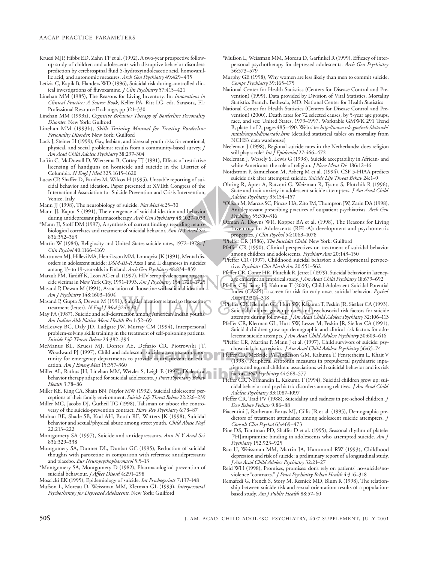- Kruesi MJP, Hibbs ED, Zahn TP et al. (1992), A two-year prospective followup study of children and adolescents with disruptive behavior disorders: prediction by cerebrospinal fluid 5-hydroxyindoleacetic acid, homovanillic acid, and autonomic measures. *Arch Gen Psychiatry* 49:429–435
- Letizia C, Kapik B, Flanders WD (1996), Suicidal risk during controlled clinical investigations of fluvoxamine. *J Clin Psychiatry* 57:415–421
- Linehan MM (1985), The Reasons for Living Inventory. In: *Innovations in Clinical Practice: A Source Book,* Keller PA, Ritt LG, eds. Sarasota, FL: Professional Resource Exchange, pp 321–330
- Linehan MM (1993a), *Cognitive Behavior Therapy of Borderline Personality Disorder.* New York: Guilford
- Linehan MM (1993b), *Skills Training Manual for Treating Borderline Personality Disorder.* New York: Guilford
- Lock J, Steiner H (1999), Gay, lesbian, and bisexual youth risks for emotional, physical, and social problems: results from a community-based survey. *J Am Acad Child Adolesc Psychiatry* 38:297–304
- Loftin C, McDowall D, Wiersema B, Cottey TJ (1991), Effects of restrictive licensing of handguns on homicide and suicide in the District of Columbia. *N Engl J Med* 325:1615–1620
- Lucas CP, Shaffer D, Parides M, Wilcox H (1995), Unstable reporting of suicidal behavior and ideation. Paper presented at XVIIth Congress of the International Association for Suicide Prevention and Crisis Intervention, Venice, Italy
- Mann JJ (1998), The neurobiology of suicide. *Nat Med* 4:25–30
- Mann JJ, Kapur S (1991), The emergence of suicidal ideation and behavior during antidepressant pharmacotherapy. *Arch Gen Psychiatry* 48:1027–1033
- \*Mann JJ, Stoff DM (1997), A synthesis of current findings regarding neurobiological correlates and treatment of suicidal behavior. *Ann N Y Acad Sci* 836:352–363
- Martin W (1984), Religiosity and United States suicide rates, 1972–1978. *J Clin Psychol* 40:1166–1169
- Marttunen MJ, Hillevi MA, Henriksson MM, Lonnqvist JK (1991), Mental disorders in adolescent suicide: *DSM-III-R* Axes I and II diagnoses in suicides among 13- to 19-year-olds in Finland. *Arch Gen Psychiatry* 48:834–839
- Marzuk PM, Tardiff K, Leon AC et al. (1997), HIV seroprevalence among suicide victims in New York City, 1991–1993. *Am J Psychiatry* 154:1720–1725
- Masand P, Dewan M (1991), Association of fluoxetine with suicidal ideation. *Am J Psychiatry* 148:1603–1604
- Masand P, Gupta S, Dewan M (1991), Suicidal ideation related to fluoxetine treatment (letter). *N Engl J Med* 324:420
- May PA (1987), Suicide and self-destruction among American Indian youths. *Am Indian Alsk Native Ment Health Res* 1:52–69
- McLeavey BC, Daly JD, Ludgate JW, Murray CM (1994), Interpersonal problem-solving skills training in the treatment of self-poisoning patients. *Suicide Life Threat Behav* 24:382–394
- McManus BL, Kruesi MJ, Dontes AE, Defazio CR, Piotrowski JT, Woodward PJ (1997), Child and adolescent suicide attempts: an opportunity for emergency departments to provide injury prevention edu-<br>cation. Am J Emerg Med 15:357-360 cation. *Am J Emerg Med* 15:357–360
- Miller AL, Rathus JH, Linehan MM, Wetzler S, Leigh E (1997), Dialectical behavior therapy adapted for suicidal adolescents. *J Pract Psychiatry Behav Health* 3:78–86
- Miller KE, King CA, Shain BN, Naylor MW (1992), Suicidal adolescents' perceptions of their family environment. *Suicide Life Threat Behav* 22:226–239
- Miller MC, Jacobs DJ, Gutheil TG (1998), Talisman or taboo: the controversy of the suicide-prevention contract. *Harv Rev Psychiatry* 6:78–87
- Molnar BE, Shade SB, Kral AH, Booth RE, Watters JK (1998), Suicidal behavior and sexual/physical abuse among street youth. *Child Abuse Negl* 22:213–222
- Montgomery SA (1997), Suicide and antidepressants. *Ann N Y Acad Sci* 836:329–338
- Montgomery SA, Dunner DL, Dunbar GC (1995), Reduction of suicidal thoughts with paroxetine in comparison with reference antidepressants and placebo. *Eur Neuropsychopharmacol* 5:5–13
- \*Montgomery SA, Montgomery D (1982), Pharmacological prevention of suicidal behaviour. *J Affect Disord* 4:291–298
- Moscicki EK (1995), Epidemiology of suicide. *Int Psychogeriatr* 7:137–148
- Mufson L, Moreau D, Weissman MM, Klerman GL (1993), *Interpersonal Psychotherapy for Depressed Adolescents*. New York: Guilford
- \*Mufson L, Weissman MM, Moreau D, Garfinkel R (1999), Efficacy of interpersonal psychotherapy for depressed adolescents. *Arch Gen Psychiatry* 56:573–579
- Murphy GE (1998), Why women are less likely than men to commit suicide. *Compr Psychiatry* 39:165–175
- National Center for Health Statistics (Centers for Disease Control and Prevention) (1999), Data provided by Division of Vital Statistics, Mortality Statistics Branch. Bethesda, MD: National Center for Health Statistics
- National Center for Health Statistics (Centers for Disease Control and Prevention) (2000), Death rates for 72 selected causes, by 5-year age groups, race, and sex: United States, 1979–1997. Worktable GMWK 291 Trend B, plate 1 of 2, pages 485–490. Web site: *http://www.cdc.gov/nchs/datawh/ statab/unpubd/mortabs.htm* (detailed statistical tables on mortality from NCHS's data warehouse)
- Neeleman J (1998), Regional suicide rates in the Netherlands: does religion still play a role? *Int J Epidemiol* 27:466–472
- Neeleman J, Wessely S, Lewis G (1998), Suicide acceptability in African- and white Americans: the role of religion. *J Nerv Ment Dis* 186:12–16
- Nordstrom P, Samuelsson M, Asberg M et al. (1994), CSF 5-HIAA predicts suicide risk after attempted suicide. *Suicide Life Threat Behav* 24:1–9
- Ohring R, Apter A, Ratzoni G, Weizman R, Tyano S, Plutchik R (1996), State and trait anxiety in adolescent suicide attempters. *J Am Acad Child Adolesc Psychiatry* 35:154–157
- \*Olfson M, Marcus SC, Pincus HA, Zito JM, Thompson JW, Zarin DA (1998), Antidepressant prescribing practices of outpatient psychiatrists. *Arch Gen Psychiatry* 55:310–316
- Osman A, Downs WR, Kopper BA et al. (1998), The Reasons for Living Inventory for Adolescents (RFL-A): development and psychometric properties. *J Clin Psychol* 54:1063–1078
- \*Pfeffer CR (1986), *The Suicidal Child*. New York: Guilford
- Pfeffer CR (1990), Clinical perspectives on treatment of suicidal behavior among children and adolescents. *Psychiatr Ann* 20:143–150
- \*Pfeffer CR (1997), Childhood suicidal behavior: a developmental perspective. *Psychiatr Clin North Am* 20:551–562
- Pfeffer CR, Conte HR, Plutchik R, Jerret I (1979), Suicidal behavior in latencyage children: an empirical study. *J Am Acad Child Psychiatry* 18:679–692
- Pfeffer CR, Jiang H, Kakuma T (2000), Child-Adolescent Suicidal Potential Index (CASPI): a screen for risk for early onset suicidal behavior. *Psychol Assess* 12:304–318
- \*Pfeffer CR, Klerman GL, Hurt SW, Kakuma T, Peskin JR, Siefker CA (1993), Suicidal children grow up: rates and psychosocial risk factors for suicide
- attempts during follow-up. *J Am Acad Child Adolesc Psychiatry* 32:106–113 Pfeffer CR, Klerman GL, Hurt SW, Lesser M, Peskin JR, Siefker CA (1991), Suicidal children grow up: demographic and clinical risk factors for ado-
- lescent suicide attempts. *J Am Acad Child Adolesc Psychiatry* 30:609–616 \*Pfeffer CR, Martins P, Mann J et al. (1997), Child survivors of suicide: psy-
- chosocial characteristics. *J Am Acad Child Adolesc Psychiatry* 36:65–74 Pfeffer CR, McBride PA, Anderson GM, Kakuma T, Fensterheim L, Khait V
- (1998), Peripheral serotonin measures in prepubertal psychiatric inpatients and normal children: associations with suicidal behavior and its risk factors. *Biol Psychiatry* 44:568–577
- Pfeffer CR, Normandin L, Kakuma T (1994), Suicidal children grow up: suicidal behavior and psychiatric disorders among relatives. *J Am Acad Child Adolesc Psychiatry* 33:1087–1097
- Pfeffer CR, Trad PV (1988), Suicidality and sadness in pre-school children. *J Dev Behav Pediatr* 9:86–88
- Piacentini J, Rotheram-Borus MJ, Gillis JR et al. (1995), Demographic predictors of treatment attendance among adolescent suicide attempters. *J Consult Clin Psychol* 63:469–473
- Pine DS, Trautman PD, Shaffer D et al. (1995), Seasonal rhythm of platelet [ 3 H]imipramine binding in adolescents who attempted suicide. *Am J Psychiatry* 152:923–925
- Rao U, Weissman MM, Martin JA, Hammond RW (1993), Childhood depression and risk of suicide: a preliminary report of a longitudinal study. *J Am Acad Child Adolesc Psychiatry* 32:21–27
- Reid WH (1998), Promises, promises: don't rely on patients' no-suicide/noviolence "contracts." *J Pract Psychiatry Behav Health* 4:316–318
- Remafedi G, French S, Story M, Resnick MD, Blum R (1998), The relationship between suicide risk and sexual orientation: results of a populationbased study. *Am J Public Health* 88:57–60